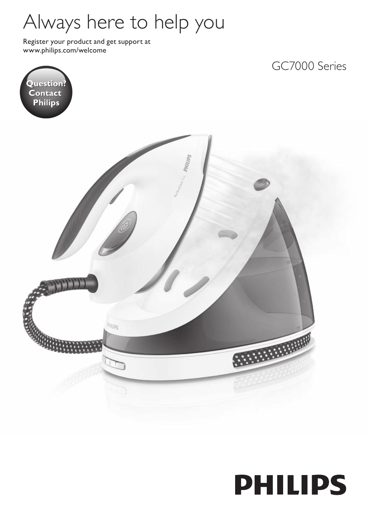## Always here to help you

Register your product and get support at www.philips.com/welcome



# **PHILIPS**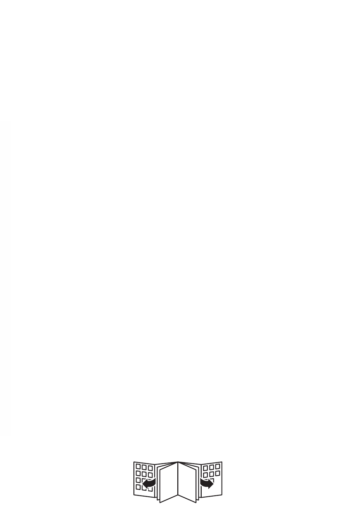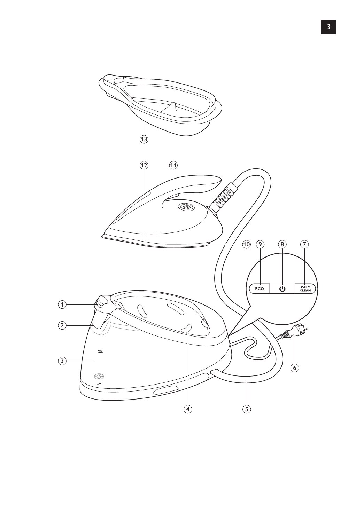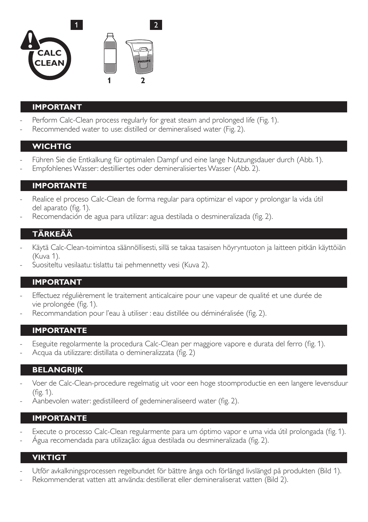

#### **IMPORTANT**

- Perform Calc-Clean process regularly for great steam and prolonged life (Fig. 1).
- Recommended water to use: distilled or demineralised water (Fig. 2).

#### **WICHTIG**

- Führen Sie die Entkalkung für optimalen Dampf und eine lange Nutzungsdauer durch (Abb. 1).
- Empfohlenes Wasser: destilliertes oder demineralisiertes Wasser (Abb. 2).

#### **IMPORTANTE**

- Realice el proceso Calc-Clean de forma regular para optimizar el vapor y prolongar la vida útil del aparato (fig. 1).
- Recomendación de agua para utilizar: agua destilada o desmineralizada (fig. 2).

#### **TÄRKEÄÄ**

- Käytä Calc-Clean-toimintoa säännöllisesti, sillä se takaa tasaisen höyryntuoton ja laitteen pitkän käyttöiän (Kuva 1).
- Suositeltu vesilaatu: tislattu tai pehmennetty vesi (Kuva 2).

#### **IMPORTANT**

- Effectuez régulièrement le traitement anticalcaire pour une vapeur de qualité et une durée de vie prolongée (fig. 1).
- Recommandation pour l'eau à utiliser : eau distillée ou déminéralisée (fig. 2).

#### **IMPORTANTE**

- Eseguite regolarmente la procedura Calc-Clean per maggiore vapore e durata del ferro (fig. 1).
- Acqua da utilizzare: distillata o demineralizzata (fig. 2)

#### **BELANGRIJK**

- Voer de Calc-Clean-procedure regelmatig uit voor een hoge stoomproductie en een langere levensduur (fig. 1).
- Aanbevolen water: gedistilleerd of gedemineraliseerd water (fig. 2).

#### **IMPORTANTE**

- Execute o processo Calc-Clean regularmente para um óptimo vapor e uma vida útil prolongada (fig. 1).
- Água recomendada para utilização: água destilada ou desmineralizada (fig. 2).

#### **VIKTIGT**

- Utför avkalkningsprocessen regelbundet för bättre ånga och förlängd livslängd på produkten (Bild 1).
- Rekommenderat vatten att använda: destillerat eller demineraliserat vatten (Bild 2).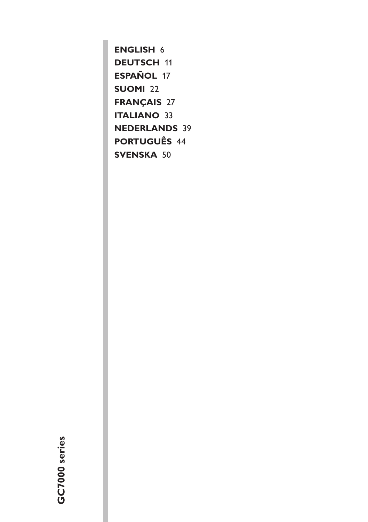**[ENGLISH](#page-5-0)** 6 **[DEUTSCH](#page-10-0)** 11 **[ESPAÑOL](#page-16-0)** 17 **[SUOMI](#page-21-0)** 22 **[FRANÇAIS](#page-26-0)** 27 **[ITALIANO](#page-32-0)** 33 **[NEDERLANDS](#page-38-0)** 39 **[PORTUGUÊS](#page-43-0)** 44 **[SVENSKA](#page-49-0)** 50

GC7000 series **GC7000 series**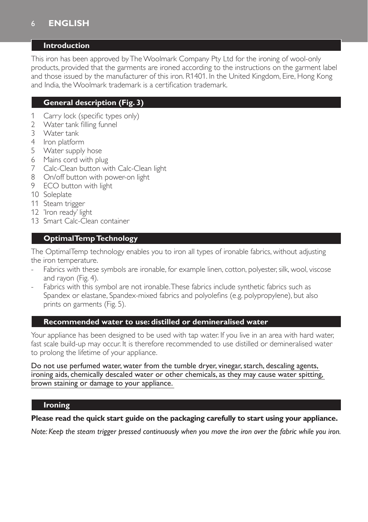#### <span id="page-5-0"></span>**Introduction**

This iron has been approved by The Woolmark Company Pty Ltd for the ironing of wool-only products, provided that the garments are ironed according to the instructions on the garment label and those issued by the manufacturer of this iron. R1401. In the United Kingdom, Eire, Hong Kong and India, the Woolmark trademark is a certification trademark.

#### **General description (Fig. 3)**

- 1 Carry lock (specific types only)
- 2 Water tank filling funnel
- 3 Water tank
- 4 Iron platform<br>5 Water supply
- Water supply hose
- 6 Mains cord with plug
- 7 Calc-Clean button with Calc-Clean light
- 8 On/off button with power-on light
- 9 ECO button with light
- 10 Soleplate
- 11 Steam trigger
- 12 'Iron ready' light
- 13 Smart Calc-Clean container

#### **OptimalTemp Technology**

The OptimalTemp technology enables you to iron all types of ironable fabrics, without adjusting the iron temperature.

- Fabrics with these symbols are ironable, for example linen, cotton, polyester, silk, wool, viscose and rayon (Fig. 4).
- Fabrics with this symbol are not ironable. These fabrics include synthetic fabrics such as Spandex or elastane, Spandex-mixed fabrics and polyolefins (e.g. polypropylene), but also prints on garments (Fig. 5).

#### **Recommended water to use: distilled or demineralised water**

Your appliance has been designed to be used with tap water. If you live in an area with hard water, fast scale build-up may occur. It is therefore recommended to use distilled or demineralised water to prolong the lifetime of your appliance.

#### Do not use perfumed water, water from the tumble dryer, vinegar, starch, descaling agents, ironing aids, chemically descaled water or other chemicals, as they may cause water spitting, brown staining or damage to your appliance.

#### **Ironing**

**Please read the quick start guide on the packaging carefully to start using your appliance.**

*Note: Keep the steam trigger pressed continuously when you move the iron over the fabric while you iron.*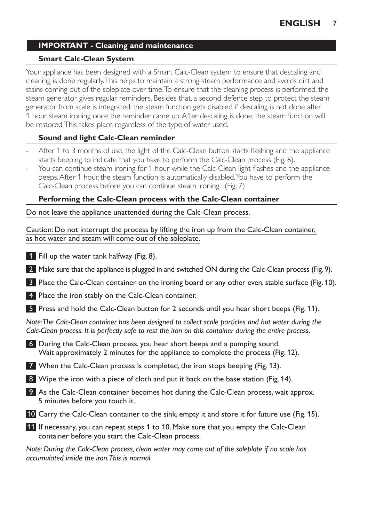#### **IMPORTANT - Cleaning and maintenance**

#### **Smart Calc-Clean System**

Your appliance has been designed with a Smart Calc-Clean system to ensure that descaling and cleaning is done regularly. This helps to maintain a strong steam performance and avoids dirt and stains coming out of the soleplate over time. To ensure that the cleaning process is performed, the steam generator gives regular reminders. Besides that, a second defence step to protect the steam generator from scale is integrated: the steam function gets disabled if descaling is not done after 1 hour steam ironing once the reminder came up. After descaling is done, the steam function will be restored. This takes place regardless of the type of water used.

#### **Sound and light Calc-Clean reminder**

- After 1 to 3 months of use, the light of the Calc-Clean button starts flashing and the appliance starts beeping to indicate that you have to perform the Calc-Clean process (Fig. 6).
- You can continue steam ironing for 1 hour while the Calc-Clean light flashes and the appliance beeps. After 1 hour, the steam function is automatically disabled. You have to perform the Calc-Clean process before you can continue steam ironing. (Fig. 7)

#### **Performing the Calc-Clean process with the Calc-Clean container**

Do not leave the appliance unattended during the Calc-Clean process.

Caution: Do not interrupt the process by lifting the iron up from the Calc-Clean container, as hot water and steam will come out of the soleplate.

- 1 Fill up the water tank halfway (Fig. 8).
- 2 Make sure that the appliance is plugged in and switched ON during the Calc-Clean process (Fig. 9).
- 3 Place the Calc-Clean container on the ironing board or any other even, stable surface (Fig. 10).
- **4** Place the iron stably on the Calc-Clean container.
- 5 Press and hold the Calc-Clean button for 2 seconds until you hear short beeps (Fig. 11).

*Note: The Calc-Clean container has been designed to collect scale particles and hot water during the Calc-Clean process. It is perfectly safe to rest the iron on this container during the entire process.*

6 During the Calc-Clean process, you hear short beeps and a pumping sound. Wait approximately 2 minutes for the appliance to complete the process (Fig. 12).

- 7 When the Calc-Clean process is completed, the iron stops beeping (Fig. 13).
- 8 Wipe the iron with a piece of cloth and put it back on the base station (Fig. 14).
- 9 As the Calc-Clean container becomes hot during the Calc-Clean process, wait approx. 5 minutes before you touch it.
- 10 Carry the Calc-Clean container to the sink, empty it and store it for future use (Fig. 15).
- **11** If necessary, you can repeat steps 1 to 10. Make sure that you empty the Calc-Clean container before you start the Calc-Clean process.

*Note: During the Calc-Clean process, clean water may come out of the soleplate if no scale has accumulated inside the iron. This is normal.*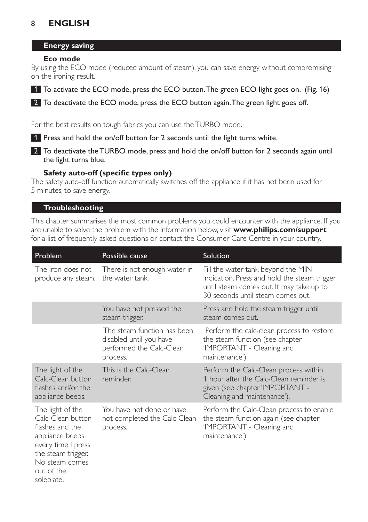#### **Energy saving**

#### **Eco mode**

By using the ECO mode (reduced amount of steam), you can save energy without compromising on the ironing result.

1 To activate the ECO mode, press the ECO button. The green ECO light goes on. (Fig. 16)

2 To deactivate the ECO mode, press the ECO button again. The green light goes off.

For the best results on tough fabrics you can use the TURBO mode.

1 Press and hold the on/off button for 2 seconds until the light turns white.

2 To deactivate the TURBO mode, press and hold the on/off button for 2 seconds again until the light turns blue.

#### **Safety auto-off (specific types only)**

The safety auto-off function automatically switches off the appliance if it has not been used for 5 minutes, to save energy.

#### **Troubleshooting**

This chapter summarises the most common problems you could encounter with the appliance. If you are unable to solve the problem with the information below, visit **www.philips.com/support** for a list of frequently asked questions or contact the Consumer Care Centre in your country.

| Problem                                                                                                                                                               | Possible cause                                                                                 | Solution                                                                                                                                                            |
|-----------------------------------------------------------------------------------------------------------------------------------------------------------------------|------------------------------------------------------------------------------------------------|---------------------------------------------------------------------------------------------------------------------------------------------------------------------|
| The iron does not<br>produce any steam.                                                                                                                               | There is not enough water in<br>the water tank.                                                | Fill the water tank beyond the MIN<br>indication. Press and hold the steam trigger<br>until steam comes out. It may take up to<br>30 seconds until steam comes out. |
|                                                                                                                                                                       | You have not pressed the<br>steam trigger.                                                     | Press and hold the steam trigger until<br>steam comes out.                                                                                                          |
|                                                                                                                                                                       | The steam function has been<br>disabled until you have<br>performed the Calc-Clean<br>process. | Perform the calc-clean process to restore<br>the steam function (see chapter<br>'IMPORTANT - Cleaning and<br>maintenance').                                         |
| The light of the<br>Calc-Clean button<br>flashes and/or the<br>appliance beeps.                                                                                       | This is the Calc-Clean<br>reminder.                                                            | Perform the Calc-Clean process within<br>1 hour after the Calc-Clean reminder is<br>given (see chapter 'IMPORTANT -<br>Cleaning and maintenance').                  |
| The light of the<br>Calc-Clean button<br>flashes and the<br>appliance beeps<br>every time I press<br>the steam trigger.<br>No steam comes<br>out of the<br>soleplate. | You have not done or have<br>not completed the Calc-Clean<br>process.                          | Perform the Calc-Clean process to enable<br>the steam function again (see chapter<br>'IMPORTANT - Cleaning and<br>maintenance').                                    |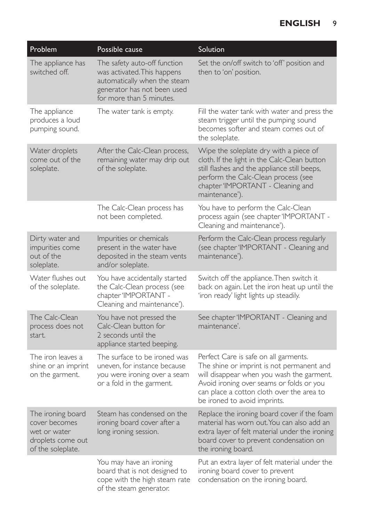| Problem                                                                                      | Possible cause                                                                                                                                         | Solution                                                                                                                                                                                                                                                 |
|----------------------------------------------------------------------------------------------|--------------------------------------------------------------------------------------------------------------------------------------------------------|----------------------------------------------------------------------------------------------------------------------------------------------------------------------------------------------------------------------------------------------------------|
| The appliance has<br>switched off.                                                           | The safety auto-off function<br>was activated. This happens<br>automatically when the steam<br>generator has not been used<br>for more than 5 minutes. | Set the on/off switch to 'off' position and<br>then to 'on' position.                                                                                                                                                                                    |
| The appliance<br>produces a loud<br>pumping sound.                                           | The water tank is empty.                                                                                                                               | Fill the water tank with water and press the<br>steam trigger until the pumping sound<br>becomes softer and steam comes out of<br>the soleplate.                                                                                                         |
| Water droplets<br>come out of the<br>soleplate.                                              | After the Calc-Clean process,<br>remaining water may drip out<br>of the soleplate.                                                                     | Wipe the soleplate dry with a piece of<br>cloth. If the light in the Calc-Clean button<br>still flashes and the appliance still beeps,<br>perform the Calc-Clean process (see<br>chapter 'IMPORTANT - Cleaning and<br>maintenance').                     |
|                                                                                              | The Calc-Clean process has<br>not been completed.                                                                                                      | You have to perform the Calc-Clean<br>process again (see chapter 'IMPORTANT -<br>Cleaning and maintenance').                                                                                                                                             |
| Dirty water and<br>impurities come<br>out of the<br>soleplate.                               | Impurities or chemicals<br>present in the water have<br>deposited in the steam vents<br>and/or soleplate.                                              | Perform the Calc-Clean process regularly<br>(see chapter 'IMPORTANT - Cleaning and<br>maintenance').                                                                                                                                                     |
| Water flushes out<br>of the soleplate.                                                       | You have accidentally started<br>the Calc-Clean process (see<br>chapter 'IMPORTANT -<br>Cleaning and maintenance').                                    | Switch off the appliance.Then switch it<br>back on again. Let the iron heat up until the<br>'iron ready' light lights up steadily.                                                                                                                       |
| The Calc-Clean<br>process does not<br>start.                                                 | You have not pressed the<br>Calc-Clean button for<br>2 seconds until the<br>appliance started beeping.                                                 | See chapter 'IMPORTANT - Cleaning and<br>maintenance'.                                                                                                                                                                                                   |
| The iron leaves a<br>shine or an imprint<br>on the garment.                                  | The surface to be ironed was<br>uneven, for instance because<br>you were ironing over a seam<br>or a fold in the garment.                              | Perfect Care is safe on all garments.<br>The shine or imprint is not permanent and<br>will disappear when you wash the garment.<br>Avoid ironing over seams or folds or you<br>can place a cotton cloth over the area to<br>be ironed to avoid imprints. |
| The ironing board<br>cover becomes<br>wet or water<br>droplets come out<br>of the soleplate. | Steam has condensed on the<br>ironing board cover after a<br>long ironing session.                                                                     | Replace the ironing board cover if the foam<br>material has worn out.You can also add an<br>extra layer of felt material under the ironing<br>board cover to prevent condensation on<br>the ironing board.                                               |
|                                                                                              | You may have an ironing<br>board that is not designed to<br>cope with the high steam rate<br>of the steam generator.                                   | Put an extra layer of felt material under the<br>ironing board cover to prevent<br>condensation on the ironing board.                                                                                                                                    |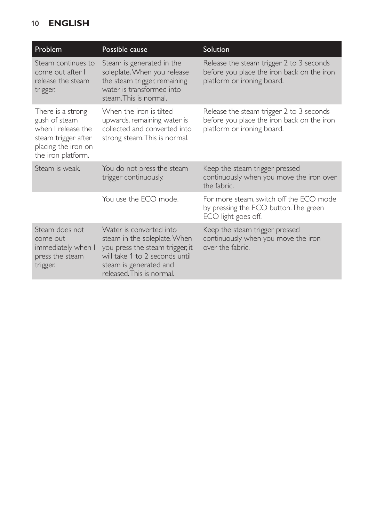| Problem                                                                                                                      | Possible cause                                                                                                                                                                      | Solution                                                                                                             |
|------------------------------------------------------------------------------------------------------------------------------|-------------------------------------------------------------------------------------------------------------------------------------------------------------------------------------|----------------------------------------------------------------------------------------------------------------------|
| Steam continues to<br>come out after I<br>release the steam<br>trigger.                                                      | Steam is generated in the<br>soleplate. When you release<br>the steam trigger, remaining<br>water is transformed into<br>steam. This is normal.                                     | Release the steam trigger 2 to 3 seconds<br>before you place the iron back on the iron<br>platform or ironing board. |
| There is a strong<br>gush of steam<br>when I release the<br>steam trigger after<br>placing the iron on<br>the iron platform. | When the iron is tilted<br>upwards, remaining water is<br>collected and converted into<br>strong steam. This is normal.                                                             | Release the steam trigger 2 to 3 seconds<br>before you place the iron back on the iron<br>platform or ironing board. |
| Steam is weak.                                                                                                               | You do not press the steam<br>trigger continuously.                                                                                                                                 | Keep the steam trigger pressed<br>continuously when you move the iron over<br>the fabric.                            |
|                                                                                                                              | You use the ECO mode.                                                                                                                                                               | For more steam, switch off the ECO mode<br>by pressing the ECO button. The green<br>ECO light goes off.              |
| Steam does not<br>come out<br>immediately when I<br>press the steam<br>trigger.                                              | Water is converted into<br>steam in the soleplate. When<br>you press the steam trigger, it<br>will take 1 to 2 seconds until<br>steam is generated and<br>released. This is normal. | Keep the steam trigger pressed<br>continuously when you move the iron<br>over the fabric.                            |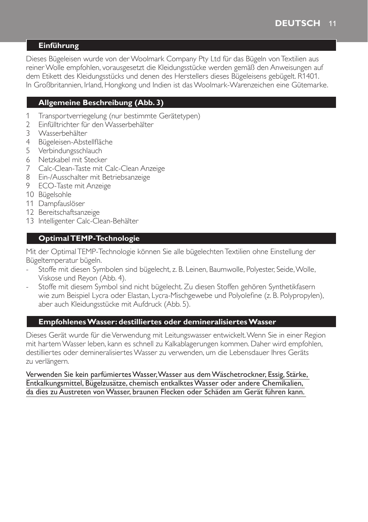#### <span id="page-10-0"></span>**Einführung**

Dieses Bügeleisen wurde von der Woolmark Company Pty Ltd für das Bügeln von Textilien aus reiner Wolle empfohlen, vorausgesetzt die Kleidungsstücke werden gemäß den Anweisungen auf dem Etikett des Kleidungsstücks und denen des Herstellers dieses Bügeleisens gebügelt. R1401. In Großbritannien, Irland, Hongkong und Indien ist das Woolmark-Warenzeichen eine Gütemarke.

#### **Allgemeine Beschreibung (Abb. 3)**

- 1 Transportverriegelung (nur bestimmte Gerätetypen)<br>2 Einfülltrichter für den Wasserbehälter
- 2 Einfülltrichter für den Wasserbehälter<br>3 Wasserbehälter
- 
- 3 Wasserbehälter<br>4 Bügeleisen-Abste 4 Bügeleisen-Abstellfläche<br>5 Verbindungsschlauch
- 5 Verbindungsschlauch<br>6 Netzkabel mit Stecke
- 6 Netzkabel mit Stecker<br>7 Calc-Clean-Taste mit C
- 7 Calc-Clean-Taste mit Calc-Clean Anzeige
- 8 Ein-/Ausschalter mit Betriebsanzeige<br>9 ECO-Taste mit Anzeige
- 9 ECO-Taste mit Anzeige
- 10 Bügelsohle
- 11 Dampfauslöser
- 12 Bereitschaftsanzeige
- 13 Intelligenter Calc-Clean-Behälter

#### **Optimal TEMP-Technologie**

Mit der Optimal TEMP-Technologie können Sie alle bügelechten Textilien ohne Einstellung der Bügeltemperatur bügeln.

- Stoffe mit diesen Symbolen sind bügelecht, z. B. Leinen, Baumwolle, Polyester, Seide, Wolle, Viskose und Reyon (Abb. 4).
- Stoffe mit diesem Symbol sind nicht bügelecht. Zu diesen Stoffen gehören Synthetikfasern wie zum Beispiel Lycra oder Elastan, Lycra-Mischgewebe und Polyolefine (z. B. Polypropylen), aber auch Kleidungsstücke mit Aufdruck (Abb. 5).

#### **Empfohlenes Wasser: destilliertes oder demineralisiertes Wasser**

Dieses Gerät wurde für die Verwendung mit Leitungswasser entwickelt. Wenn Sie in einer Region mit hartem Wasser leben, kann es schnell zu Kalkablagerungen kommen. Daher wird empfohlen, destilliertes oder demineralisiertes Wasser zu verwenden, um die Lebensdauer Ihres Geräts zu verlängern.

Verwenden Sie kein parfümiertes Wasser, Wasser aus dem Wäschetrockner, Essig, Stärke, Entkalkungsmittel, Bügelzusätze, chemisch entkalktes Wasser oder andere Chemikalien, da dies zu Austreten von Wasser, braunen Flecken oder Schäden am Gerät führen kann.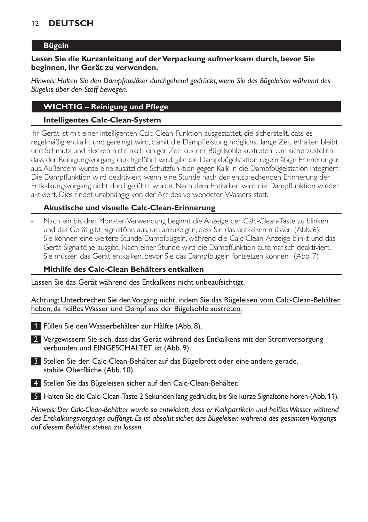#### **Bügeln**

#### **Lesen Sie die Kurzanleitung auf der Verpackung aufmerksam durch, bevor Sie beginnen, Ihr Gerät zu verwenden.**

*Hinweis: Halten Sie den Dampfauslöser durchgehend gedrückt, wenn Sie das Bügeleisen während des Bügelns über den Stoff bewegen.*

#### **WICHTIG – Reinigung und Pflege**

#### **Intelligentes Calc-Clean-System**

Ihr Gerät ist mit einer intelligenten Calc-Clean-Funktion ausgestattet, die sicherstellt, dass es regelmäßig entkalkt und gereinigt wird, damit die Dampfleistung möglichst lange Zeit erhalten bleibt und Schmutz und Flecken nicht nach einiger Zeit aus der Bügelsohle austreten. Um sicherzustellen, dass der Reinigungsvorgang durchgeführt wird, gibt die Dampfbügelstation regelmäßige Erinnerungen aus. Außerdem wurde eine zusätzliche Schutzfunktion gegen Kalk in die Dampfbügelstation integriert: Die Dampffunktion wird deaktiviert, wenn eine Stunde nach der entsprechenden Erinnerung der Entkalkungsvorgang nicht durchgeführt wurde. Nach dem Entkalken wird die Dampffunktion wieder aktiviert. Dies findet unabhängig von der Art des verwendeten Wassers statt.

#### **Akustische und visuelle Calc-Clean-Erinnerung**

- Nach ein bis drei Monaten Verwendung beginnt die Anzeige der Calc-Clean-Taste zu blinken und das Gerät gibt Signaltöne aus, um anzuzeigen, dass Sie das entkalken müssen (Abb. 6).
- Sie können eine weitere Stunde Dampfbügeln, während die Calc-Clean-Anzeige blinkt und das Gerät Signaltöne ausgibt. Nach einer Stunde wird die Dampffunktion automatisch deaktiviert. Sie müssen das Gerät entkalken, bevor Sie das Dampfbügeln fortsetzen können. (Abb. 7)

#### **Mithilfe des Calc-Clean Behälters entkalken**

Lassen Sie das Gerät während des Entkalkens nicht unbeaufsichtigt.

Achtung: Unterbrechen Sie den Vorgang nicht, indem Sie das Bügeleisen vom Calc-Clean-Behälter heben, da heißes Wasser und Dampf aus der Bügelsohle austreten.

- 1 Füllen Sie den Wasserbehälter zur Hälfte (Abb. 8).
- 2 Vergewissern Sie sich, dass das Gerät während des Entkalkens mit der Stromversorgung verbunden und EINGESCHALTET ist (Abb. 9).
- 3 Stellen Sie den Calc-Clean-Behälter auf das Bügelbrett oder eine andere gerade, stabile Oberfläche (Abb. 10).
- 4 Stellen Sie das Bügeleisen sicher auf den Calc-Clean-Behälter.
- 5 Halten Sie die Calc-Clean-Taste 2 Sekunden lang gedrückt, bis Sie kurze Signaltöne hören (Abb. 11).

*Hinweis: Der Calc-Clean-Behälter wurde so entwickelt, dass er Kalkpartikeln und heißes Wasser während des Entkalkungsvorgangs auffängt. Es ist absolut sicher, das Bügeleisen während des gesamten Vorgangs auf diesem Behälter stehen zu lassen.*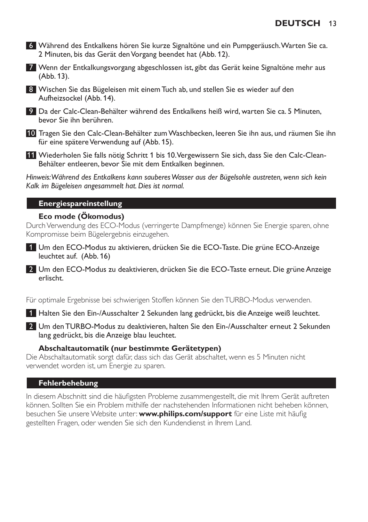

7 Wenn der Entkalkungsvorgang abgeschlossen ist, gibt das Gerät keine Signaltöne mehr aus (Abb. 13).

8 Wischen Sie das Bügeleisen mit einem Tuch ab, und stellen Sie es wieder auf den Aufheizsockel (Abb. 14).

- 9 Da der Calc-Clean-Behälter während des Entkalkens heiß wird, warten Sie ca. 5 Minuten, bevor Sie ihn berühren.
- 10 Tragen Sie den Calc-Clean-Behälter zum Waschbecken, leeren Sie ihn aus, und räumen Sie ihn für eine spätere Verwendung auf (Abb. 15).
- 11 Wiederholen Sie falls nötig Schritt 1 bis 10. Vergewissern Sie sich, dass Sie den Calc-Clean-Behälter entleeren, bevor Sie mit dem Entkalken beginnen.

*Hinweis: Während des Entkalkens kann sauberes Wasser aus der Bügelsohle austreten, wenn sich kein Kalk im Bügeleisen angesammelt hat. Dies ist normal.*

#### **Energiespareinstellung**

#### **Eco mode (Ökomodus)**

Durch Verwendung des ECO-Modus (verringerte Dampfmenge) können Sie Energie sparen, ohne Kompromisse beim Bügelergebnis einzugehen.

- 1 Um den ECO-Modus zu aktivieren, drücken Sie die ECO-Taste. Die grüne ECO-Anzeige leuchtet auf. (Abb. 16)
- 2 Um den ECO-Modus zu deaktivieren, drücken Sie die ECO-Taste erneut. Die grüne Anzeige erlischt.

Für optimale Ergebnisse bei schwierigen Stoffen können Sie den TURBO-Modus verwenden.

1 Halten Sie den Ein-/Ausschalter 2 Sekunden lang gedrückt, bis die Anzeige weiß leuchtet.

2 Um den TURBO-Modus zu deaktivieren, halten Sie den Ein-/Ausschalter erneut 2 Sekunden lang gedrückt, bis die Anzeige blau leuchtet.

#### **Abschaltautomatik (nur bestimmte Gerätetypen)**

Die Abschaltautomatik sorgt dafür, dass sich das Gerät abschaltet, wenn es 5 Minuten nicht verwendet worden ist, um Energie zu sparen.

#### **Fehlerbehebung**

In diesem Abschnitt sind die häufigsten Probleme zusammengestellt, die mit Ihrem Gerät auftreten können. Sollten Sie ein Problem mithilfe der nachstehenden Informationen nicht beheben können, besuchen Sie unsere Website unter: **www.philips.com/support** für eine Liste mit häufig gestellten Fragen, oder wenden Sie sich den Kundendienst in Ihrem Land.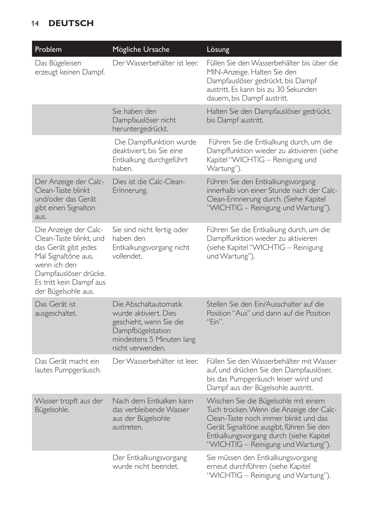| Problem                                                                                                                                                                                    | Mögliche Ursache                                                                                                                                | Lösung                                                                                                                                                                                                                                                  |
|--------------------------------------------------------------------------------------------------------------------------------------------------------------------------------------------|-------------------------------------------------------------------------------------------------------------------------------------------------|---------------------------------------------------------------------------------------------------------------------------------------------------------------------------------------------------------------------------------------------------------|
| Das Bügeleisen<br>erzeugt keinen Dampf.                                                                                                                                                    | Der Wasserbehälter ist leer.                                                                                                                    | Füllen Sie den Wasserbehälter bis über die<br>MIN-Anzeige. Halten Sie den<br>Dampfauslöser gedrückt, bis Dampf<br>austritt. Es kann bis zu 30 Sekunden<br>dauern, bis Dampf austritt.                                                                   |
|                                                                                                                                                                                            | Sie haben den<br>Dampfauslöser nicht<br>heruntergedrückt.                                                                                       | Halten Sie den Dampfauslöser gedrückt,<br>bis Dampf austritt.                                                                                                                                                                                           |
|                                                                                                                                                                                            | Die Dampffunktion wurde<br>deaktiviert, bis Sie eine<br>Entkalkung durchgeführt<br>haben.                                                       | Führen Sie die Entkalkung durch, um die<br>Dampffunktion wieder zu aktivieren (siehe<br>Kapitel "WICHTIG - Reinigung und<br>Wartung").                                                                                                                  |
| Der Anzeige der Calc-<br>Clean-Taste blinkt<br>und/oder das Gerät<br>gibt einen Signalton<br>aus.                                                                                          | Dies ist die Calc-Clean-<br>Erinnerung.                                                                                                         | Führen Sie den Entkalkungsvorgang<br>innerhalb von einer Stunde nach der Calc-<br>Clean-Erinnerung durch. (Siehe Kapitel<br>"WICHTIG - Reinigung und Wartung").                                                                                         |
| Die Anzeige der Calc-<br>Clean-Taste blinkt, und<br>das Gerät gibt jedes<br>Mal Signaltöne aus,<br>wenn ich den<br>Dampfauslöser drücke.<br>Es tritt kein Dampf aus<br>der Bügelsohle aus. | Sie sind nicht fertig oder<br>haben den<br>Entkalkungsvorgang nicht<br>vollendet.                                                               | Führen Sie die Entkalkung durch, um die<br>Dampffunktion wieder zu aktivieren<br>(siehe Kapitel "WICHTIG - Reinigung<br>und Wartung").                                                                                                                  |
| Das Gerät ist<br>ausgeschaltet.                                                                                                                                                            | Die Abschaltautomatik<br>wurde aktiviert. Dies<br>geschieht, wenn Sie die<br>Dampfbügelstation<br>mindestens 5 Minuten lang<br>nicht verwenden. | Stellen Sie den Ein/Ausschalter auf die<br>Position "Aus" und dann auf die Position<br>"Ein".                                                                                                                                                           |
| Das Gerät macht ein<br>lautes Pumpgeräusch.                                                                                                                                                | Der Wasserbehälter ist leer.                                                                                                                    | Füllen Sie den Wasserbehälter mit Wasser<br>auf, und drücken Sie den Dampfauslöser,<br>bis das Pumpgeräusch leiser wird und<br>Dampf aus der Bügelsohle austritt.                                                                                       |
| Wasser tropft aus der<br>Bügelsohle.                                                                                                                                                       | Nach dem Entkalken kann<br>das verbleibende Wasser<br>aus der Bügelsohle<br>austreten.                                                          | Wischen Sie die Bügelsohle mit einem<br>Tuch trocken. Wenn die Anzeige der Calc-<br>Clean-Taste noch immer blinkt und das<br>Gerät Signaltöne ausgibt, führen Sie den<br>Entkalkungsvorgang durch (siehe Kapitel<br>"WICHTIG - Reinigung und Wartung"). |
|                                                                                                                                                                                            | Der Entkalkungsvorgang<br>wurde nicht beendet.                                                                                                  | Sie müssen den Entkalkungsvorgang<br>erneut durchführen (siehe Kapitel<br>"WICHTIG - Reinigung und Wartung").                                                                                                                                           |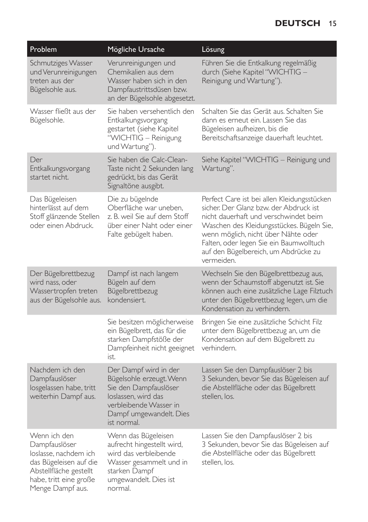| Problem                                                                                                                                                  | Mögliche Ursache                                                                                                                                                      | Lösung                                                                                                                                                                                                                                                                                                              |
|----------------------------------------------------------------------------------------------------------------------------------------------------------|-----------------------------------------------------------------------------------------------------------------------------------------------------------------------|---------------------------------------------------------------------------------------------------------------------------------------------------------------------------------------------------------------------------------------------------------------------------------------------------------------------|
| Schmutziges Wasser<br>und Verunreinigungen<br>treten aus der<br>Bügelsohle aus.                                                                          | Verunreinigungen und<br>Chemikalien aus dem<br>Wasser haben sich in den<br>Dampfaustrittsdüsen bzw.<br>an der Bügelsohle abgesetzt.                                   | Führen Sie die Entkalkung regelmäßig<br>durch (Siehe Kapitel "WICHTIG -<br>Reinigung und Wartung").                                                                                                                                                                                                                 |
| Wasser fließt aus der<br>Bügelsohle.                                                                                                                     | Sie haben versehentlich den<br>Entkalkungsvorgang<br>gestartet (siehe Kapitel<br>"WICHTIG - Reinigung<br>und Wartung").                                               | Schalten Sie das Gerät aus. Schalten Sie<br>dann es erneut ein. Lassen Sie das<br>Bügeleisen aufheizen, bis die<br>Bereitschaftsanzeige dauerhaft leuchtet.                                                                                                                                                         |
| Der<br>Entkalkungsvorgang<br>startet nicht.                                                                                                              | Sie haben die Calc-Clean-<br>Taste nicht 2 Sekunden lang<br>gedrückt, bis das Gerät<br>Signaltöne ausgibt.                                                            | Siehe Kapitel "WICHTIG - Reinigung und<br>Wartung".                                                                                                                                                                                                                                                                 |
| Das Bügeleisen<br>hinterlässt auf dem<br>Stoff glänzende Stellen<br>oder einen Abdruck.                                                                  | Die zu bügelnde<br>Oberfläche war uneben,<br>z. B. weil Sie auf dem Stoff<br>über einer Naht oder einer<br>Falte gebügelt haben.                                      | Perfect Care ist bei allen Kleidungsstücken<br>sicher, Der Glanz bzw. der Abdruck ist<br>nicht dauerhaft und verschwindet beim<br>Waschen des Kleidungsstückes. Bügeln Sie,<br>wenn möglich, nicht über Nähte oder<br>Falten, oder legen Sie ein Baumwolltuch<br>auf den Bügelbereich, um Abdrücke zu<br>vermeiden. |
| Der Bügelbrettbezug<br>wird nass, oder<br>Wassertropfen treten<br>aus der Bügelsohle aus.                                                                | Dampf ist nach langem<br>Bügeln auf dem<br>Bügelbrettbezug<br>kondensiert.                                                                                            | Wechseln Sie den Bügelbrettbezug aus,<br>wenn der Schaumstoff abgenutzt ist. Sie<br>können auch eine zusätzliche Lage Filztuch<br>unter den Bügelbrettbezug legen, um die<br>Kondensation zu verhindern.                                                                                                            |
|                                                                                                                                                          | Sie besitzen möglicherweise<br>ein Bügelbrett, das für die<br>starken Dampfstöße der<br>Dampfeinheit nicht geeignet<br>ist.                                           | Bringen Sie eine zusätzliche Schicht Filz<br>unter dem Bügelbrettbezug an, um die<br>Kondensation auf dem Bügelbrett zu<br>verhindern.                                                                                                                                                                              |
| Nachdem ich den<br>Dampfauslöser<br>losgelassen habe, tritt<br>weiterhin Dampf aus.                                                                      | Der Dampf wird in der<br>Bügelsohle erzeugt. Wenn<br>Sie den Dampfauslöser<br>loslassen, wird das<br>verbleibende Wasser in<br>Dampf umgewandelt. Dies<br>ist normal. | Lassen Sie den Dampfauslöser 2 bis<br>3 Sekunden, bevor Sie das Bügeleisen auf<br>die Abstellfläche oder das Bügelbrett<br>stellen, los.                                                                                                                                                                            |
| Wenn ich den<br>Dampfauslöser<br>loslasse, nachdem ich<br>das Bügeleisen auf die<br>Abstellfläche gestellt<br>habe, tritt eine große<br>Menge Dampf aus. | Wenn das Bügeleisen<br>aufrecht hingestellt wird,<br>wird das verbleibende<br>Wasser gesammelt und in<br>starken Dampf<br>umgewandelt. Dies ist<br>normal.            | Lassen Sie den Dampfauslöser 2 bis<br>3 Sekunden, bevor Sie das Bügeleisen auf<br>die Abstellfläche oder das Bügelbrett<br>stellen. los.                                                                                                                                                                            |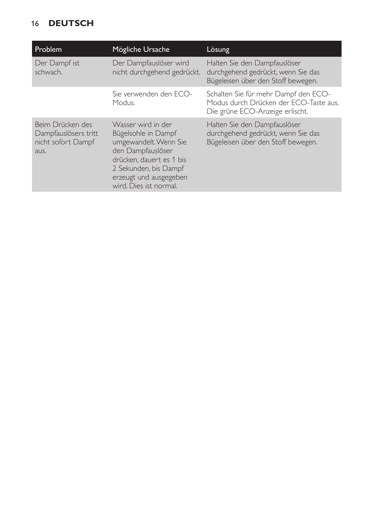| Problem                                                                | Mögliche Ursache                                                                                                                                                                                 | Lösung                                                                                                            |
|------------------------------------------------------------------------|--------------------------------------------------------------------------------------------------------------------------------------------------------------------------------------------------|-------------------------------------------------------------------------------------------------------------------|
| Der Dampf ist<br>schwach.                                              | Der Dampfauslöser wird<br>nicht durchgehend gedrückt.                                                                                                                                            | Halten Sie den Dampfauslöser<br>durchgehend gedrückt, wenn Sie das<br>Bügeleisen über den Stoff bewegen.          |
|                                                                        | Sie verwenden den ECO-<br>Modus.                                                                                                                                                                 | Schalten Sie für mehr Dampf den ECO-<br>Modus durch Drücken der ECO-Taste aus.<br>Die grüne ECO-Anzeige erlischt. |
| Beim Drücken des<br>Dampfauslösers tritt<br>nicht sofort Dampf<br>aus. | Wasser wird in der<br>Bügelsohle in Dampf<br>umgewandelt. Wenn Sie<br>den Dampfauslöser<br>drücken, dauert es 1 bis<br>2 Sekunden, bis Dampf<br>erzeugt und ausgegeben<br>wird. Dies ist normal. | Halten Sie den Dampfauslöser<br>durchgehend gedrückt, wenn Sie das<br>Bügeleisen über den Stoff bewegen.          |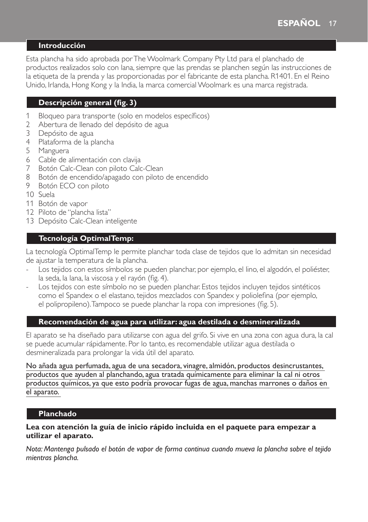#### <span id="page-16-0"></span>**Introducción**

Esta plancha ha sido aprobada por The Woolmark Company Pty Ltd para el planchado de productos realizados solo con lana, siempre que las prendas se planchen según las instrucciones de la etiqueta de la prenda y las proporcionadas por el fabricante de esta plancha. R1401. En el Reino Unido, Irlanda, Hong Kong y la India, la marca comercial Woolmark es una marca registrada.

#### **Descripción general (fig. 3)**

- 1 Bloqueo para transporte (solo en modelos específicos)<br>2 Abertura de llenado del denósito de agua
- 2 Abertura de llenado del depósito de agua<br>3 Depósito de agua
- 3 Depósito de agua<br>4 Plataforma de la p
- 4 Plataforma de la plancha
- 5 Manguera
- 6 Cable de alimentación con clavija<br>7 Botón Calc-Clean con piloto Calc
- 7 Botón Calc-Clean con piloto Calc-Clean
- 8 Botón de encendido/apagado con piloto de encendido<br>9 Botón ECO con piloto
- Botón ECO con piloto
- 10 Suela
- 11 Botón de vapor
- 12 Piloto de "plancha lista"
- 13 Depósito Calc-Clean inteligente

#### **Tecnología OptimalTemp:**

La tecnología OptimalTemp le permite planchar toda clase de tejidos que lo admitan sin necesidad de ajustar la temperatura de la plancha.

- Los tejidos con estos símbolos se pueden planchar, por ejemplo, el lino, el algodón, el poliéster, la seda, la lana, la viscosa y el rayón (fig. 4).
- Los tejidos con este símbolo no se pueden planchar. Estos tejidos incluyen tejidos sintéticos como el Spandex o el elastano, tejidos mezclados con Spandex y poliolefina (por ejemplo, el polipropileno). Tampoco se puede planchar la ropa con impresiones (fig. 5).

#### **Recomendación de agua para utilizar: agua destilada o desmineralizada**

El aparato se ha diseñado para utilizarse con agua del grifo. Si vive en una zona con agua dura, la cal se puede acumular rápidamente. Por lo tanto, es recomendable utilizar agua destilada o desmineralizada para prolongar la vida útil del aparato.

No añada agua perfumada, agua de una secadora, vinagre, almidón, productos desincrustantes, productos que ayuden al planchando, agua tratada químicamente para eliminar la cal ni otros productos químicos, ya que esto podría provocar fugas de agua, manchas marrones o daños en el aparato.

#### **Planchado**

#### **Lea con atención la guía de inicio rápido incluida en el paquete para empezar a utilizar el aparato.**

*Nota: Mantenga pulsado el botón de vapor de forma continua cuando mueva la plancha sobre el tejido mientras plancha.*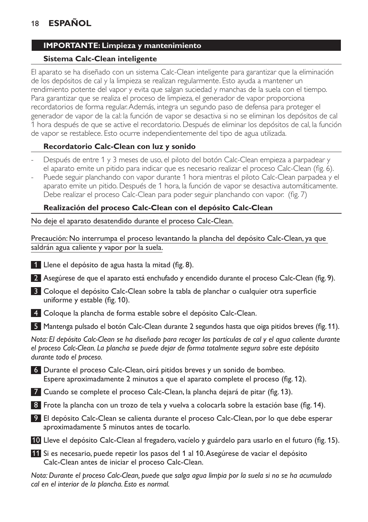## 18 **ESPAÑOL**

#### **IMPORTANTE: Limpieza y mantenimiento**

#### **Sistema Calc-Clean inteligente**

El aparato se ha diseñado con un sistema Calc-Clean inteligente para garantizar que la eliminación de los depósitos de cal y la limpieza se realizan regularmente. Esto ayuda a mantener un rendimiento potente del vapor y evita que salgan suciedad y manchas de la suela con el tiempo. Para garantizar que se realiza el proceso de limpieza, el generador de vapor proporciona recordatorios de forma regular. Además, integra un segundo paso de defensa para proteger el generador de vapor de la cal: la función de vapor se desactiva si no se eliminan los depósitos de cal 1 hora después de que se active el recordatorio. Después de eliminar los depósitos de cal, la función de vapor se restablece. Esto ocurre independientemente del tipo de agua utilizada.

#### **Recordatorio Calc-Clean con luz y sonido**

- Después de entre 1 y 3 meses de uso, el piloto del botón Calc-Clean empieza a parpadear y el aparato emite un pitido para indicar que es necesario realizar el proceso Calc-Clean (fig. 6).
- Puede seguir planchando con vapor durante 1 hora mientras el piloto Calc-Clean parpadea y el aparato emite un pitido. Después de 1 hora, la función de vapor se desactiva automáticamente. Debe realizar el proceso Calc-Clean para poder seguir planchando con vapor. (fig. 7)

#### **Realización del proceso Calc-Clean con el depósito Calc-Clean**

No deje el aparato desatendido durante el proceso Calc-Clean.

Precaución: No interrumpa el proceso levantando la plancha del depósito Calc-Clean, ya que saldrán agua caliente y vapor por la suela.

- 1 Llene el depósito de agua hasta la mitad (fig. 8).
- 2 Asegúrese de que el aparato está enchufado y encendido durante el proceso Calc-Clean (fig. 9).
- 8 Coloque el depósito Calc-Clean sobre la tabla de planchar o cualquier otra superficie uniforme y estable (fig. 10).
- 4 Coloque la plancha de forma estable sobre el depósito Calc-Clean.

**5** Mantenga pulsado el botón Calc-Clean durante 2 segundos hasta que oiga pitidos breves (fig. 11).

*Nota: El depósito Calc-Clean se ha diseñado para recoger las partículas de cal y el agua caliente durante el proceso Calc-Clean. La plancha se puede dejar de forma totalmente segura sobre este depósito durante todo el proceso.*

- 6 Durante el proceso Calc-Clean, oirá pitidos breves y un sonido de bombeo. Espere aproximadamente 2 minutos a que el aparato complete el proceso (fig. 12).
- 7 Cuando se complete el proceso Calc-Clean, la plancha dejará de pitar (fig. 13).
- 8 Frote la plancha con un trozo de tela y vuelva a colocarla sobre la estación base (fig. 14).
- 9 El depósito Calc-Clean se calienta durante el proceso Calc-Clean, por lo que debe esperar aproximadamente 5 minutos antes de tocarlo.
- 10 Lleve el depósito Calc-Clean al fregadero, vacíelo y guárdelo para usarlo en el futuro (fig. 15).
- 11 Si es necesario, puede repetir los pasos del 1 al 10. Asegúrese de vaciar el depósito Calc-Clean antes de iniciar el proceso Calc-Clean.

*Nota: Durante el proceso Calc-Clean, puede que salga agua limpia por la suela si no se ha acumulado cal en el interior de la plancha. Esto es normal.*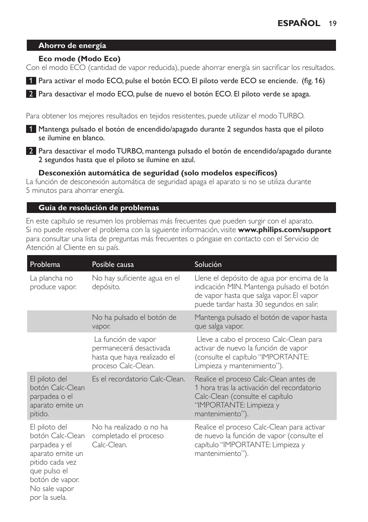#### **Ahorro de energía**

#### **Eco mode (Modo Eco)**

Con el modo ECO (cantidad de vapor reducida), puede ahorrar energía sin sacrificar los resultados.

1 Para activar el modo ECO, pulse el botón ECO. El piloto verde ECO se enciende. (fig. 16)

2 Para desactivar el modo ECO, pulse de nuevo el botón ECO. El piloto verde se apaga.

Para obtener los mejores resultados en tejidos resistentes, puede utilizar el modo TURBO.

1 Mantenga pulsado el botón de encendido/apagado durante 2 segundos hasta que el piloto se ilumine en blanco.

2 Para desactivar el modo TURBO, mantenga pulsado el botón de encendido/apagado durante 2 segundos hasta que el piloto se ilumine en azul.

**Desconexión automática de seguridad (solo modelos específicos)** La función de desconexión automática de seguridad apaga el aparato si no se utiliza durante 5 minutos para ahorrar energía.

#### **Guía de resolución de problemas**

En este capítulo se resumen los problemas más frecuentes que pueden surgir con el aparato. Si no puede resolver el problema con la siguiente información, visite **www.philips.com/support** para consultar una lista de preguntas más frecuentes o póngase en contacto con el Servicio de Atención al Cliente en su país.

| Problema                                                                                                                                                       | Posible causa                                                                                        | Solución                                                                                                                                                                        |
|----------------------------------------------------------------------------------------------------------------------------------------------------------------|------------------------------------------------------------------------------------------------------|---------------------------------------------------------------------------------------------------------------------------------------------------------------------------------|
| La plancha no<br>produce vapor.                                                                                                                                | No hay suficiente agua en el<br>depósito.                                                            | Llene el depósito de agua por encima de la<br>indicación MIN. Mantenga pulsado el botón<br>de vapor hasta que salga vapor. El vapor<br>puede tardar hasta 30 segundos en salir. |
|                                                                                                                                                                | No ha pulsado el botón de<br>vapor.                                                                  | Mantenga pulsado el botón de vapor hasta<br>que salga vapor.                                                                                                                    |
|                                                                                                                                                                | La función de vapor<br>permanecerá desactivada<br>hasta que haya realizado el<br>proceso Calc-Clean. | Lleve a cabo el proceso Calc-Clean para<br>activar de nuevo la función de vapor<br>(consulte el capítulo "IMPORTANTE:<br>Limpieza y mantenimiento").                            |
| El piloto del<br>botón Calc-Clean<br>parpadea o el<br>aparato emite un<br>pitido.                                                                              | Es el recordatorio Calc-Clean.                                                                       | Realice el proceso Calc-Clean antes de<br>1 hora tras la activación del recordatorio<br>Calc-Clean (consulte el capítulo<br>"IMPORTANTE: Limpieza y<br>mantenimiento").         |
| El piloto del<br>botón Calc-Clean<br>parpadea y el<br>aparato emite un<br>pitido cada vez<br>que pulso el<br>botón de vapor.<br>No sale vapor<br>por la suela. | No ha realizado o no ha<br>completado el proceso<br>Calc-Clean.                                      | Realice el proceso Calc-Clean para activar<br>de nuevo la función de vapor (consulte el<br>capítulo "IMPORTANTE: Limpieza y<br>mantenimiento").                                 |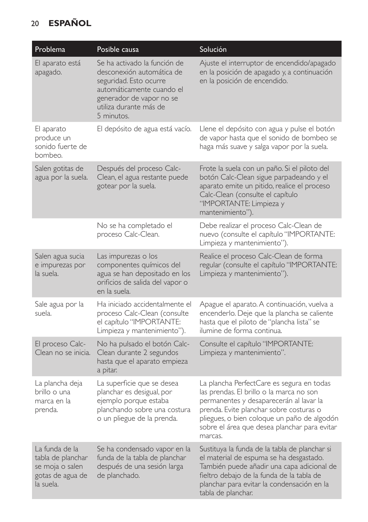## 20 **ESPAÑOL**

| Problema                                                                                | Posible causa                                                                                                                                                                        | Solución                                                                                                                                                                                                                                                                              |
|-----------------------------------------------------------------------------------------|--------------------------------------------------------------------------------------------------------------------------------------------------------------------------------------|---------------------------------------------------------------------------------------------------------------------------------------------------------------------------------------------------------------------------------------------------------------------------------------|
| El aparato está<br>apagado.                                                             | Se ha activado la función de<br>desconexión automática de<br>seguridad. Esto ocurre<br>automáticamente cuando el<br>generador de vapor no se<br>utiliza durante más de<br>5 minutos. | Ajuste el interruptor de encendido/apagado<br>en la posición de apagado y, a continuación<br>en la posición de encendido.                                                                                                                                                             |
| El aparato<br>produce un<br>sonido fuerte de<br>bombeo.                                 | El depósito de agua está vacío.                                                                                                                                                      | Llene el depósito con agua y pulse el botón<br>de vapor hasta que el sonido de bombeo se<br>haga más suave y salga vapor por la suela.                                                                                                                                                |
| Salen gotitas de<br>agua por la suela.                                                  | Después del proceso Calc-<br>Clean, el agua restante puede<br>gotear por la suela.                                                                                                   | Frote la suela con un paño. Si el piloto del<br>botón Calc-Clean sigue parpadeando y el<br>aparato emite un pitido, realice el proceso<br>Calc-Clean (consulte el capítulo<br>"IMPORTANTE: Limpieza y<br>mantenimiento").                                                             |
|                                                                                         | No se ha completado el<br>proceso Calc-Clean.                                                                                                                                        | Debe realizar el proceso Calc-Clean de<br>nuevo (consulte el capítulo "IMPORTANTE:<br>Limpieza y mantenimiento").                                                                                                                                                                     |
| Salen agua sucia<br>e impurezas por<br>la suela.                                        | Las impurezas o los<br>componentes químicos del<br>agua se han depositado en los<br>orificios de salida del vapor o<br>en la suela.                                                  | Realice el proceso Calc-Clean de forma<br>regular (consulte el capítulo "IMPORTANTE:<br>Limpieza y mantenimiento").                                                                                                                                                                   |
| Sale agua por la<br>suela.                                                              | Ha iniciado accidentalmente el<br>proceso Calc-Clean (consulte<br>el capítulo "IMPORTANTE:<br>Limpieza y mantenimiento").                                                            | Apague el aparato. A continuación, vuelva a<br>encenderlo. Deje que la plancha se caliente<br>hasta que el piloto de "plancha lista" se<br>ilumine de forma continua.                                                                                                                 |
| El proceso Calc-<br>Clean no se inicia.                                                 | No ha pulsado el botón Calc-<br>Clean durante 2 segundos<br>hasta que el aparato empieza<br>a pitar.                                                                                 | Consulte el capítulo "IMPORTANTE:<br>Limpieza y mantenimiento".                                                                                                                                                                                                                       |
| La plancha deja<br>brillo o una<br>marca en la<br>prenda.                               | La superficie que se desea<br>planchar es desigual, por<br>ejemplo porque estaba<br>planchando sobre una costura<br>o un pliegue de la prenda.                                       | La plancha PerfectCare es segura en todas<br>las prendas. El brillo o la marca no son<br>permanentes y desaparecerán al lavar la<br>prenda. Evite planchar sobre costuras o<br>pliegues, o bien coloque un paño de algodón<br>sobre el área que desea planchar para evitar<br>marcas. |
| La funda de la<br>tabla de planchar<br>se moja o salen<br>gotas de agua de<br>la suela. | Se ha condensado vapor en la<br>funda de la tabla de planchar<br>después de una sesión larga<br>de planchado.                                                                        | Sustituya la funda de la tabla de planchar si<br>el material de espuma se ha desgastado.<br>También puede añadir una capa adicional de<br>fieltro debajo de la funda de la tabla de<br>planchar para evitar la condensación en la<br>tabla de planchar.                               |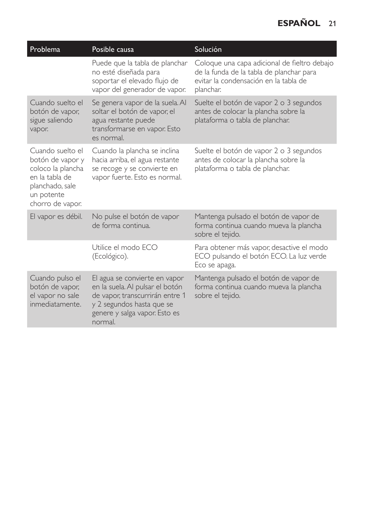## **ESPAÑOL** 21

| Problema                                                                                                                         | Posible causa                                                                                                                                                                | Solución                                                                                                                                       |
|----------------------------------------------------------------------------------------------------------------------------------|------------------------------------------------------------------------------------------------------------------------------------------------------------------------------|------------------------------------------------------------------------------------------------------------------------------------------------|
|                                                                                                                                  | Puede que la tabla de planchar<br>no esté diseñada para<br>soportar el elevado flujo de<br>vapor del generador de vapor.                                                     | Coloque una capa adicional de fieltro debajo<br>de la funda de la tabla de planchar para<br>evitar la condensación en la tabla de<br>planchar. |
| Cuando suelto el<br>botón de vapor,<br>sigue saliendo<br>vapor.                                                                  | Se genera vapor de la suela. Al<br>soltar el botón de vapor, el<br>agua restante puede<br>transformarse en vapor. Esto<br>es normal.                                         | Suelte el botón de vapor 2 o 3 segundos<br>antes de colocar la plancha sobre la<br>plataforma o tabla de planchar.                             |
| Cuando suelto el<br>botón de vapor y<br>coloco la plancha<br>en la tabla de<br>planchado, sale<br>un potente<br>chorro de vapor. | Cuando la plancha se inclina<br>hacia arriba, el agua restante<br>se recoge y se convierte en<br>vapor fuerte. Esto es normal.                                               | Suelte el botón de vapor 2 o 3 segundos<br>antes de colocar la plancha sobre la<br>plataforma o tabla de planchar.                             |
| El vapor es débil.                                                                                                               | No pulse el botón de vapor<br>de forma continua.                                                                                                                             | Mantenga pulsado el botón de vapor de<br>forma continua cuando mueva la plancha<br>sobre el tejido.                                            |
|                                                                                                                                  | Utilice el modo ECO<br>(Ecológico).                                                                                                                                          | Para obtener más vapor, desactive el modo<br>ECO pulsando el botón ECO. La luz verde<br>Eco se apaga.                                          |
| Cuando pulso el<br>botón de vapor,<br>el vapor no sale<br>inmediatamente.                                                        | El agua se convierte en vapor<br>en la suela. Al pulsar el botón<br>de vapor, transcurrirán entre 1<br>y 2 segundos hasta que se<br>genere y salga vapor. Esto es<br>normal. | Mantenga pulsado el botón de vapor de<br>forma continua cuando mueva la plancha<br>sobre el tejido.                                            |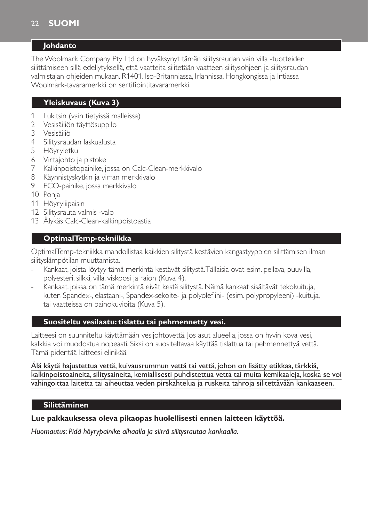#### <span id="page-21-0"></span>**Johdanto**

The Woolmark Company Pty Ltd on hyväksynyt tämän silitysraudan vain villa -tuotteiden silittämiseen sillä edellytyksellä, että vaatteita silitetään vaatteen silitysohjeen ja silitysraudan valmistajan ohjeiden mukaan. R1401. Iso-Britanniassa, Irlannissa, Hongkongissa ja Intiassa Woolmark-tavaramerkki on sertifiointitavaramerkki.

#### **Yleiskuvaus (Kuva 3)**

- 1 Lukitsin (vain tietyissä malleissa)
- 2 Vesisäiliön täyttösuppilo<br>3 Vesisäiliö
- Vesisäiliö
- 4 Silitysraudan laskualusta<br>5 Hövryletku
- 5 Höyryletku
- 6 Virtajohto ja pistoke
- 7 Kalkinpoistopainike, jossa on Calc-Clean-merkkivalo
- 8 Käynnistyskytkin ja virran merkkivalo<br>9 ECO-painike jossa merkkivalo
- 9 ECO-painike, jossa merkkivalo
- 10 Pohja
- 11 Höyryliipaisin
- 12 Silitysrauta valmis -valo
- 13 Älykäs Calc-Clean-kalkinpoistoastia

#### **OptimalTemp-tekniikka**

OptimalTemp-tekniikka mahdollistaa kaikkien silitystä kestävien kangastyyppien silittämisen ilman silityslämpötilan muuttamista.

- Kankaat, joista löytyy tämä merkintä kestävät silitystä. Tällaisia ovat esim. pellava, puuvilla, polyesteri, silkki, villa, viskoosi ja raion (Kuva 4).
- Kankaat, joissa on tämä merkintä eivät kestä silitystä. Nämä kankaat sisältävät tekokuituja, kuten Spandex-, elastaani-, Spandex-sekoite- ja polyolefiini- (esim. polypropyleeni) -kuituja, tai vaatteissa on painokuvioita (Kuva 5).

#### **Suositeltu vesilaatu: tislattu tai pehmennetty vesi.**

Laitteesi on suunniteltu käyttämään vesijohtovettä. Jos asut alueella, jossa on hyvin kova vesi, kalkkia voi muodostua nopeasti. Siksi on suositeltavaa käyttää tislattua tai pehmennettyä vettä. Tämä pidentää laitteesi elinikää.

Älä käytä hajustettua vettä, kuivausrummun vettä tai vettä, johon on lisätty etikkaa, tärkkiä, kalkinpoistoaineita, silitysaineita, kemiallisesti puhdistettua vettä tai muita kemikaaleja, koska se voi vahingoittaa laitetta tai aiheuttaa veden pirskahtelua ja ruskeita tahroja silitettävään kankaaseen.

#### **Silittäminen**

#### **Lue pakkauksessa oleva pikaopas huolellisesti ennen laitteen käyttöä.**

*Huomautus: Pidä höyrypainike alhaalla ja siirrä silitysrautaa kankaalla.*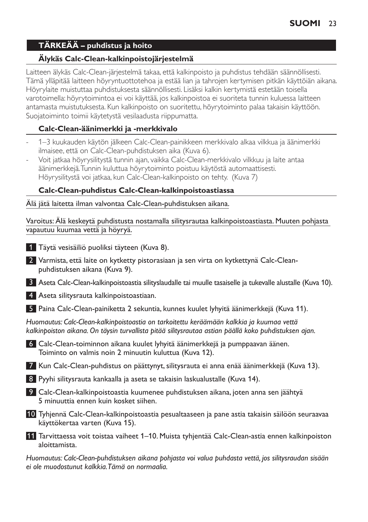## **TÄRKEÄÄ – puhdistus ja hoito**

#### **Älykäs Calc-Clean-kalkinpoistojärjestelmä**

Laitteen älykäs Calc-Clean-järjestelmä takaa, että kalkinpoisto ja puhdistus tehdään säännöllisesti. Tämä ylläpitää laitteen höyryntuottotehoa ja estää lian ja tahrojen kertymisen pitkän käyttöiän aikana. Höyrylaite muistuttaa puhdistuksesta säännöllisesti. Lisäksi kalkin kertymistä estetään toisella varotoimella: höyrytoimintoa ei voi käyttää, jos kalkinpoistoa ei suoriteta tunnin kuluessa laitteen antamasta muistutuksesta. Kun kalkinpoisto on suoritettu, höyrytoiminto palaa takaisin käyttöön. Suojatoiminto toimii käytetystä vesilaadusta riippumatta.

#### **Calc-Clean-äänimerkki ja -merkkivalo**

- 1–3 kuukauden käytön jälkeen Calc-Clean-painikkeen merkkivalo alkaa vilkkua ja äänimerkki ilmaisee, että on Calc-Clean-puhdistuksen aika (Kuva 6).
- Voit jatkaa höyrysilitystä tunnin ajan, vaikka Calc-Clean-merkkivalo vilkkuu ja laite antaa äänimerkkejä. Tunnin kuluttua höyrytoiminto poistuu käytöstä automaattisesti. Höyrysilitystä voi jatkaa, kun Calc-Clean-kalkinpoisto on tehty. (Kuva 7)

#### **Calc-Clean-puhdistus Calc-Clean-kalkinpoistoastiassa**

Älä jätä laitetta ilman valvontaa Calc-Clean-puhdistuksen aikana.

Varoitus: Älä keskeytä puhdistusta nostamalla silitysrautaa kalkinpoistoastiasta. Muuten pohjasta vapautuu kuumaa vettä ja höyryä.



- 2 Varmista, että laite on kytketty pistorasiaan ja sen virta on kytkettynä Calc-Cleanpuhdistuksen aikana (Kuva 9).
- 3 Aseta Calc-Clean-kalkinpoistoastia silityslaudalle tai muulle tasaiselle ja tukevalle alustalle (Kuva 10).
- 4 Aseta silitysrauta kalkinpoistoastiaan.
- 5 Paina Calc-Clean-painiketta 2 sekuntia, kunnes kuulet lyhyitä äänimerkkejä (Kuva 11).

*Huomautus: Calc-Clean-kalkinpoistoastia on tarkoitettu keräämään kalkkia ja kuumaa vettä kalkinpoiston aikana. On täysin turvallista pitää silitysrautaa astian päällä koko puhdistuksen ajan.*

- 6 Calc-Clean-toiminnon aikana kuulet lyhyitä äänimerkkejä ja pumppaavan äänen. Toiminto on valmis noin 2 minuutin kuluttua (Kuva 12).
- 7 Kun Calc-Clean-puhdistus on päättynyt, silitysrauta ei anna enää äänimerkkejä (Kuva 13).
- 8 Pyyhi silitysrauta kankaalla ja aseta se takaisin laskualustalle (Kuva 14).
- 9 Calc-Clean-kalkinpoistoastia kuumenee puhdistuksen aikana, joten anna sen jäähtyä 5 minuuttia ennen kuin kosket siihen.
- 10 Tyhjennä Calc-Clean-kalkinpoistoastia pesualtaaseen ja pane astia takaisin säilöön seuraavaa käyttökertaa varten (Kuva 15).
- 11 Tarvittaessa voit toistaa vaiheet 1–10. Muista tyhjentää Calc-Clean-astia ennen kalkinpoiston aloittamista.

*Huomautus: Calc-Clean-puhdistuksen aikana pohjasta voi valua puhdasta vettä, jos silitysraudan sisään ei ole muodostunut kalkkia. Tämä on normaalia.*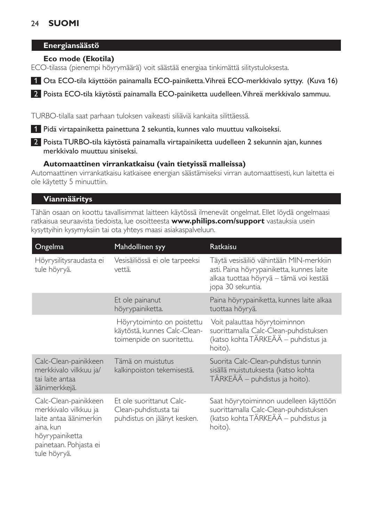#### **Energiansäästö**

#### **Eco mode (Ekotila)**

ECO-tilassa (pienempi höyrymäärä) voit säästää energiaa tinkimättä silitystuloksesta.

1 Ota ECO-tila käyttöön painamalla ECO-painiketta. Vihreä ECO-merkkivalo syttyy. (Kuva 16)

2 Poista ECO-tila käytöstä painamalla ECO-painiketta uudelleen. Vihreä merkkivalo sammuu.

TURBO-tilalla saat parhaan tuloksen vaikeasti siliäviä kankaita silittäessä.

1 Pidä virtapainiketta painettuna 2 sekuntia, kunnes valo muuttuu valkoiseksi.

2 Poista TURBO-tila käytöstä painamalla virtapainiketta uudelleen 2 sekunnin ajan, kunnes merkkivalo muuttuu siniseksi.

#### **Automaattinen virrankatkaisu (vain tietyissä malleissa)**

Automaattinen virrankatkaisu katkaisee energian säästämiseksi virran automaattisesti, kun laitetta ei ole käytetty 5 minuuttiin.

#### **Vianmääritys**

Tähän osaan on koottu tavallisimmat laitteen käytössä ilmenevät ongelmat. Ellet löydä ongelmaasi ratkaisua seuraavista tiedoista, lue osoitteesta **www.philips.com/support** vastauksia usein kysyttyihin kysymyksiin tai ota yhteys maasi asiakaspalveluun.

| Ongelma                                                                                                                                            | Mahdollinen syy                                                                         | Ratkaisu                                                                                                                                            |
|----------------------------------------------------------------------------------------------------------------------------------------------------|-----------------------------------------------------------------------------------------|-----------------------------------------------------------------------------------------------------------------------------------------------------|
| Höyrysilitysraudasta ei<br>tule höyryä.                                                                                                            | Vesisäiliössä ei ole tarpeeksi<br>vettä.                                                | Täytä vesisäiliö vähintään MIN-merkkiin<br>asti. Paina höyrypainiketta, kunnes laite<br>alkaa tuottaa höyryä - tämä voi kestää<br>jopa 30 sekuntia. |
|                                                                                                                                                    | Et ole painanut<br>höyrypainiketta.                                                     | Paina höyrypainiketta, kunnes laite alkaa<br>tuottaa höyryä.                                                                                        |
|                                                                                                                                                    | Höyrytoiminto on poistettu<br>käytöstä, kunnes Calc-Clean-<br>toimenpide on suoritettu. | Voit palauttaa höyrytoiminnon<br>suorittamalla Calc-Clean-puhdistuksen<br>(katso kohta TÄRKEÄÄ – puhdistus ja<br>hoito).                            |
| Calc-Clean-painikkeen<br>merkkivalo vilkkuu ja/<br>tai laite antaa<br>äänimerkkejä.                                                                | Tämä on muistutus<br>kalkinpoiston tekemisestä.                                         | Suorita Calc-Clean-puhdistus tunnin<br>sisällä muistutuksesta (katso kohta<br>TÄRKEÄÄ – puhdistus ja hoito).                                        |
| Calc-Clean-painikkeen<br>merkkivalo vilkkuu ja<br>laite antaa äänimerkin<br>aina, kun<br>höyrypainiketta<br>painetaan. Pohjasta ei<br>tule höyryä. | Et ole suorittanut Calc-<br>Clean-puhdistusta tai<br>puhdistus on jäänyt kesken.        | Saat höyrytoiminnon uudelleen käyttöön<br>suorittamalla Calc-Clean-puhdistuksen<br>(katso kohta TÄRKEÄÄ - puhdistus ja<br>hoito).                   |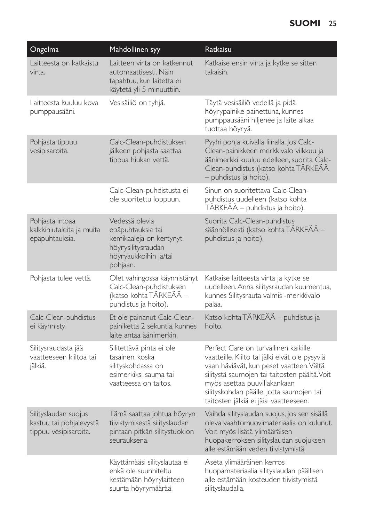| Ongelma                                                                  | Mahdollinen syy                                                                                                           | Ratkaisu                                                                                                                                                                                                                                                                                                  |
|--------------------------------------------------------------------------|---------------------------------------------------------------------------------------------------------------------------|-----------------------------------------------------------------------------------------------------------------------------------------------------------------------------------------------------------------------------------------------------------------------------------------------------------|
| Laitteesta on katkaistu<br>virta.                                        | Laitteen virta on katkennut<br>automaattisesti. Näin<br>tapahtuu, kun laitetta ei<br>käytetä yli 5 minuuttiin.            | Katkaise ensin virta ja kytke se sitten<br>takaisin.                                                                                                                                                                                                                                                      |
| Laitteesta kuuluu kova<br>pumppausääni.                                  | Vesisäiliö on tyhjä.                                                                                                      | Täytä vesisäiliö vedellä ja pidä<br>höyrypainike painettuna, kunnes<br>pumppausääni hiljenee ja laite alkaa<br>tuottaa höyryä.                                                                                                                                                                            |
| Pohjasta tippuu<br>vesipisaroita.                                        | Calc-Clean-puhdistuksen<br>jälkeen pohjasta saattaa<br>tippua hiukan vettä.                                               | Pyyhi pohja kuivalla liinalla. Jos Calc-<br>Clean-painikkeen merkkivalo vilkkuu ja<br>äänimerkki kuuluu edelleen, suorita Calc-<br>Clean-puhdistus (katso kohta TÄRKEÄÄ<br>- puhdistus ja hoito).                                                                                                         |
|                                                                          | Calc-Clean-puhdistusta ei<br>ole suoritettu loppuun.                                                                      | Sinun on suoritettava Calc-Clean-<br>puhdistus uudelleen (katso kohta<br>TARKEAA – puhdistus ja hoito).                                                                                                                                                                                                   |
| Pohjasta irtoaa<br>kalkkihiutaleita ja muita<br>epäpuhtauksia.           | Vedessä olevia<br>epäpuhtauksia tai<br>kemikaaleja on kertynyt<br>höyrysilitysraudan<br>höyryaukkoihin ja/tai<br>pohjaan. | Suorita Calc-Clean-puhdistus<br>säännöllisesti (katso kohta TÄRKEÄÄ –<br>puhdistus ja hoito).                                                                                                                                                                                                             |
| Pohjasta tulee vettä.                                                    | Olet vahingossa käynnistänyt<br>Calc-Clean-puhdistuksen<br>(katso kohta TÄRKEÄÄ –<br>puhdistus ja hoito).                 | Katkaise laitteesta virta ja kytke se<br>uudelleen. Anna silitysraudan kuumentua,<br>kunnes Silitysrauta valmis -merkkivalo<br>palaa.                                                                                                                                                                     |
| Calc-Clean-puhdistus<br>ei käynnisty.                                    | Et ole painanut Calc-Clean-<br>painiketta 2 sekuntia, kunnes<br>laite antaa äänimerkin.                                   | Katso kohta TÄRKEÄÄ - puhdistus ja<br>hoito.                                                                                                                                                                                                                                                              |
| Silitysraudasta jää<br>vaatteeseen kiiltoa tai<br>jälkiä.                | Silitettävä pinta ei ole<br>tasainen, koska<br>silityskohdassa on<br>esimerkiksi sauma tai<br>vaatteessa on taitos.       | Perfect Care on turvallinen kaikille<br>vaatteille. Kiilto tai jälki eivät ole pysyviä<br>vaan häviävät, kun peset vaatteen. Vältä<br>silitystä saumojen tai taitosten päältä. Voit<br>myös asettaa puuvillakankaan<br>silityskohdan päälle, jotta saumojen tai<br>taitosten jälkiä ei jäisi vaatteeseen. |
| Silityslaudan suojus<br>kastuu tai pohjalevystä<br>tippuu vesipisaroita. | Tämä saattaa johtua höyryn<br>tiivistymisestä silityslaudan<br>pintaan pitkän silitystuokion<br>seurauksena.              | Vaihda silityslaudan suojus, jos sen sisällä<br>oleva vaahtomuovimateriaalia on kulunut.<br>Voit myös lisätä ylimääräisen<br>huopakerroksen silityslaudan suojuksen<br>alle estämään veden tiivistymistä.                                                                                                 |
|                                                                          | Käyttämääsi silityslautaa ei<br>ehkä ole suunniteltu<br>kestämään höyrylaitteen<br>suurta höyrymäärää.                    | Aseta ylimääräinen kerros<br>huopamateriaalia silityslaudan päällisen<br>alle estämään kosteuden tiivistymistä<br>silityslaudalla.                                                                                                                                                                        |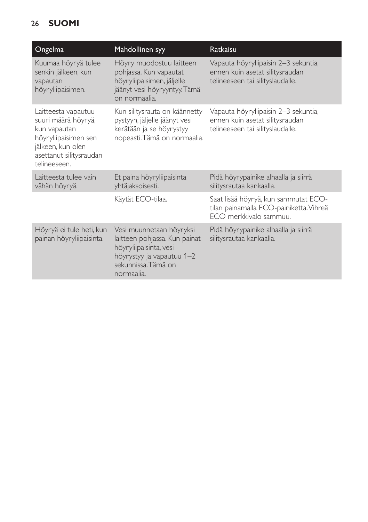| Ongelma                                                                                                                                            | Mahdollinen syy                                                                                                                                       | Ratkaisu                                                                                                    |
|----------------------------------------------------------------------------------------------------------------------------------------------------|-------------------------------------------------------------------------------------------------------------------------------------------------------|-------------------------------------------------------------------------------------------------------------|
| Kuumaa höyryä tulee<br>senkin jälkeen, kun<br>vapautan<br>höyryliipaisimen.                                                                        | Höyry muodostuu laitteen<br>pohjassa. Kun vapautat<br>höyryliipaisimen, jäljelle<br>jäänyt vesi höyryyntyy. Tämä<br>on normaalia.                     | Vapauta höyryliipaisin 2–3 sekuntia,<br>ennen kuin asetat silitysraudan<br>telineeseen tai silityslaudalle. |
| Laitteesta vapautuu<br>suuri määrä höyryä,<br>kun vapautan<br>höyryliipaisimen sen<br>jälkeen, kun olen<br>asettanut silitysraudan<br>telineeseen. | Kun silitysrauta on käännetty<br>pystyyn, jäljelle jäänyt vesi<br>kerätään ja se höyrystyy<br>nopeasti. Tämä on normaalia.                            | Vapauta höyryliipaisin 2–3 sekuntia,<br>ennen kuin asetat silitysraudan<br>telineeseen tai silityslaudalle. |
| Laitteesta tulee vain<br>vähän höyryä.                                                                                                             | Et paina höyryliipaisinta<br>yhtäjaksoisesti.                                                                                                         | Pidä höyrypainike alhaalla ja siirrä<br>silitysrautaa kankaalla.                                            |
|                                                                                                                                                    | Käytät ECO-tilaa.                                                                                                                                     | Saat lisää höyryä, kun sammutat ECO-<br>tilan painamalla ECO-painiketta. Vihreä<br>ECO merkkivalo sammuu.   |
| Höyryä ei tule heti, kun<br>painan höyryliipaisinta.                                                                                               | Vesi muunnetaan höyryksi<br>laitteen pohjassa. Kun painat<br>höyryliipaisinta, vesi<br>höyrystyy ja vapautuu 1–2<br>sekunnissa. Tämä on<br>normaalia. | Pidä höyrypainike alhaalla ja siirrä<br>silitysrautaa kankaalla.                                            |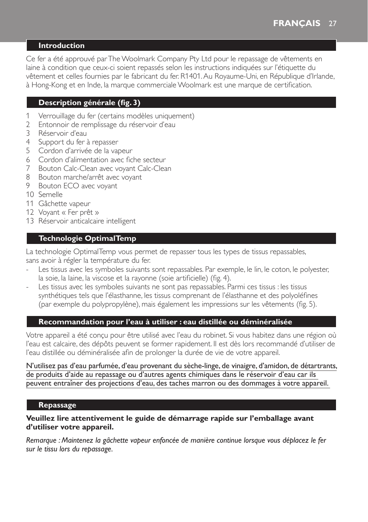#### <span id="page-26-0"></span>**Introduction**

Ce fer a été approuvé par The Woolmark Company Pty Ltd pour le repassage de vêtements en laine à condition que ceux-ci soient repassés selon les instructions indiquées sur l'étiquette du vêtement et celles fournies par le fabricant du fer. R1401. Au Royaume-Uni, en République d'Irlande, à Hong-Kong et en Inde, la marque commerciale Woolmark est une marque de certification.

#### **Description générale (fig. 3)**

- 1 Verrouillage du fer (certains modèles uniquement)<br>2 Entonnoir de remplissage du réservoir d'eau
- 2 Entonnoir de remplissage du réservoir d'eau<br>3 Réservoir d'eau
- Réservoir d'eau
- 4 Support du fer à repasser
- 5 Cordon d'arrivée de la vapeur
- 6 Cordon d'alimentation avec fiche secteur<br>7 Bouton Calc-Clean avec vovant Calc-Clea
- Bouton Calc-Clean avec voyant Calc-Clean
- 8 Bouton marche/arrêt avec voyant<br>9 Bouton ECO avec voyant
- Bouton ECO avec voyant
- 10 Semelle
- 11 Gâchette vapeur
- 12 Voyant « Fer prêt »
- 13 Réservoir anticalcaire intelligent

#### **Technologie OptimalTemp**

La technologie OptimalTemp vous permet de repasser tous les types de tissus repassables, sans avoir à régler la température du fer.

- Les tissus avec les symboles suivants sont repassables. Par exemple, le lin, le coton, le polyester, la soie, la laine, la viscose et la rayonne (soie artificielle) (fig. 4).
- Les tissus avec les symboles suivants ne sont pas repassables. Parmi ces tissus : les tissus synthétiques tels que l'élasthanne, les tissus comprenant de l'élasthanne et des polyoléfines (par exemple du polypropylène), mais également les impressions sur les vêtements (fig. 5).

#### **Recommandation pour l'eau à utiliser : eau distillée ou déminéralisée**

Votre appareil a été conçu pour être utilisé avec l'eau du robinet. Si vous habitez dans une région où l'eau est calcaire, des dépôts peuvent se former rapidement. Il est dès lors recommandé d'utiliser de l'eau distillée ou déminéralisée afin de prolonger la durée de vie de votre appareil.

N'utilisez pas d'eau parfumée, d'eau provenant du sèche-linge, de vinaigre, d'amidon, de détartrants, de produits d'aide au repassage ou d'autres agents chimiques dans le réservoir d'eau car ils peuvent entraîner des projections d'eau, des taches marron ou des dommages à votre appareil.

#### **Repassage**

#### **Veuillez lire attentivement le guide de démarrage rapide sur l'emballage avant d'utiliser votre appareil.**

*Remarque : Maintenez la gâchette vapeur enfoncée de manière continue lorsque vous déplacez le fer sur le tissu lors du repassage.*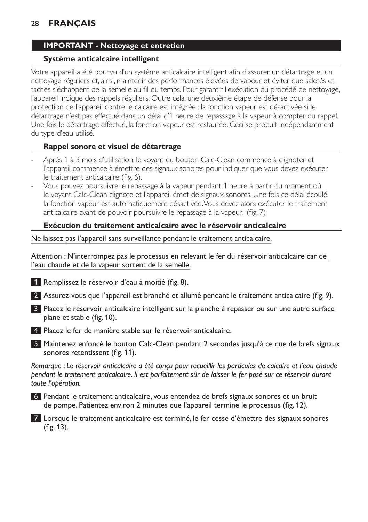#### **IMPORTANT - Nettoyage et entretien**

#### **Système anticalcaire intelligent**

Votre appareil a été pourvu d'un système anticalcaire intelligent afin d'assurer un détartrage et un nettoyage réguliers et, ainsi, maintenir des performances élevées de vapeur et éviter que saletés et taches s'échappent de la semelle au fil du temps. Pour garantir l'exécution du procédé de nettoyage, l'appareil indique des rappels réguliers. Outre cela, une deuxième étape de défense pour la protection de l'appareil contre le calcaire est intégrée : la fonction vapeur est désactivée si le détartrage n'est pas effectué dans un délai d'1 heure de repassage à la vapeur à compter du rappel. Une fois le détartrage effectué, la fonction vapeur est restaurée. Ceci se produit indépendamment du type d'eau utilisé.

#### **Rappel sonore et visuel de détartrage**

- Après 1 à 3 mois d'utilisation, le voyant du bouton Calc-Clean commence à clignoter et l'appareil commence à émettre des signaux sonores pour indiquer que vous devez exécuter le traitement anticalcaire (fig. 6).
- Vous pouvez poursuivre le repassage à la vapeur pendant 1 heure à partir du moment où le voyant Calc-Clean clignote et l'appareil émet de signaux sonores. Une fois ce délai écoulé, la fonction vapeur est automatiquement désactivée. Vous devez alors exécuter le traitement anticalcaire avant de pouvoir poursuivre le repassage à la vapeur. (fig. 7)

#### **Exécution du traitement anticalcaire avec le réservoir anticalcaire**

Ne laissez pas l'appareil sans surveillance pendant le traitement anticalcaire.

Attention : N'interrompez pas le processus en relevant le fer du réservoir anticalcaire car de l'eau chaude et de la vapeur sortent de la semelle.

- 1 Remplissez le réservoir d'eau à moitié (fig. 8).
- 2 Assurez-vous que l'appareil est branché et allumé pendant le traitement anticalcaire (fig. 9).
- 3 Placez le réservoir anticalcaire intelligent sur la planche à repasser ou sur une autre surface plane et stable (fig. 10).
- 4 Placez le fer de manière stable sur le réservoir anticalcaire.
- 5 Maintenez enfoncé le bouton Calc-Clean pendant 2 secondes jusqu'à ce que de brefs signaux sonores retentissent (fig. 11).

*Remarque : Le réservoir anticalcaire a été conçu pour recueillir les particules de calcaire et l'eau chaude pendant le traitement anticalcaire. Il est parfaitement sûr de laisser le fer posé sur ce réservoir durant toute l'opération.*

6 Pendant le traitement anticalcaire, vous entendez de brefs signaux sonores et un bruit de pompe. Patientez environ 2 minutes que l'appareil termine le processus (fig. 12).

7 Lorsque le traitement anticalcaire est terminé, le fer cesse d'émettre des signaux sonores (fig. 13).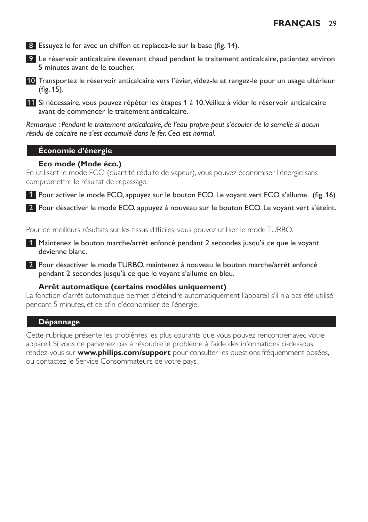8 Essuyez le fer avec un chiffon et replacez-le sur la base (fig. 14).

9 Le réservoir anticalcaire devenant chaud pendant le traitement anticalcaire, patientez environ 5 minutes avant de le toucher.

10 Transportez le réservoir anticalcaire vers l'évier, videz-le et rangez-le pour un usage ultérieur (fig. 15).

11 Si nécessaire, vous pouvez répéter les étapes 1 à 10. Veillez à vider le réservoir anticalcaire avant de commencer le traitement anticalcaire.

*Remarque : Pendant le traitement anticalcaire, de l'eau propre peut s'écouler de la semelle si aucun résidu de calcaire ne s'est accumulé dans le fer. Ceci est normal.*

#### **Économie d'énergie**

#### **Eco mode (Mode éco.)**

En utilisant le mode ECO (quantité réduite de vapeur), vous pouvez économiser l'énergie sans compromettre le résultat de repassage.

1 Pour activer le mode ECO, appuyez sur le bouton ECO. Le voyant vert ECO s'allume. (fig. 16)

2 Pour désactiver le mode ECO, appuyez à nouveau sur le bouton ECO. Le voyant vert s'éteint.

Pour de meilleurs résultats sur les tissus difficiles, vous pouvez utiliser le mode TURBO.

- 1 Maintenez le bouton marche/arrêt enfoncé pendant 2 secondes jusqu'à ce que le voyant devienne blanc.
- 2 Pour désactiver le mode TURBO, maintenez à nouveau le bouton marche/arrêt enfoncé pendant 2 secondes jusqu'à ce que le voyant s'allume en bleu.

#### **Arrêt automatique (certains modèles uniquement)**

La fonction d'arrêt automatique permet d'éteindre automatiquement l'appareil s'il n'a pas été utilisé pendant 5 minutes, et ce afin d'économiser de l'énergie.

#### **Dépannage**

Cette rubrique présente les problèmes les plus courants que vous pouvez rencontrer avec votre appareil. Si vous ne parvenez pas à résoudre le problème à l'aide des informations ci-dessous, rendez-vous sur **www.philips.com/support** pour consulter les questions fréquemment posées, ou contactez le Service Consommateurs de votre pays.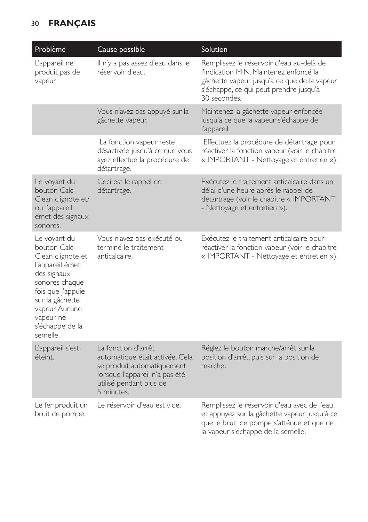| Problème                                                                                                                                                                                                    | Cause possible                                                                                                                                                  | Solution                                                                                                                                                                                    |
|-------------------------------------------------------------------------------------------------------------------------------------------------------------------------------------------------------------|-----------------------------------------------------------------------------------------------------------------------------------------------------------------|---------------------------------------------------------------------------------------------------------------------------------------------------------------------------------------------|
| L'appareil ne<br>produit pas de<br>vapeur.                                                                                                                                                                  | Il n'y a pas assez d'eau dans le<br>réservoir d'eau.                                                                                                            | Remplissez le réservoir d'eau au-delà de<br>l'indication MIN. Maintenez enfoncé la<br>gâchette vapeur jusqu'à ce que de la vapeur<br>s'échappe, ce qui peut prendre jusqu'à<br>30 secondes. |
|                                                                                                                                                                                                             | Vous n'avez pas appuyé sur la<br>gâchette vapeur.                                                                                                               | Maintenez la gâchette vapeur enfoncée<br>jusqu'à ce que la vapeur s'échappe de<br>l'appareil.                                                                                               |
|                                                                                                                                                                                                             | La fonction vapeur reste<br>désactivée jusqu'à ce que vous<br>ayez effectué la procédure de<br>détartrage.                                                      | Effectuez la procédure de détartrage pour<br>réactiver la fonction vapeur (voir le chapitre<br>« IMPORTANT - Nettoyage et entretien »).                                                     |
| Le voyant du<br>bouton Calc-<br>Clean clignote et/<br>ou l'appareil<br>émet des signaux<br>sonores.                                                                                                         | Ceci est le rappel de<br>détartrage.                                                                                                                            | Exécutez le traitement anticalcaire dans un<br>délai d'une heure après le rappel de<br>détartrage (voir le chapitre « IMPORTANT<br>- Nettoyage et entretien »).                             |
| Le voyant du<br>bouton Calc-<br>Clean clignote et<br>l'appareil émet<br>des signaux<br>sonores chaque<br>fois que j'appuie<br>sur la gâchette<br>vapeur. Aucune<br>vapeur ne<br>s'échappe de la<br>semelle. | Vous n'avez pas exécuté ou<br>terminé le traitement<br>anticalcaire.                                                                                            | Exécutez le traitement anticalcaire pour<br>réactiver la fonction vapeur (voir le chapitre<br>« IMPORTANT - Nettoyage et entretien »).                                                      |
| L'appareil s'est<br>éteint.                                                                                                                                                                                 | La fonction d'arrêt<br>automatique était activée. Cela<br>se produit automatiquement<br>lorsque l'appareil n'a pas été<br>utilisé pendant plus de<br>5 minutes. | Réglez le bouton marche/arrêt sur la<br>position d'arrêt, puis sur la position de<br>marche.                                                                                                |
| Le fer produit un<br>bruit de pompe.                                                                                                                                                                        | Le réservoir d'eau est vide.                                                                                                                                    | Remplissez le réservoir d'eau avec de l'eau<br>et appuyez sur la gâchette vapeur jusqu'à ce<br>que le bruit de pompe s'atténue et que de<br>la vapeur s'échappe de la semelle.              |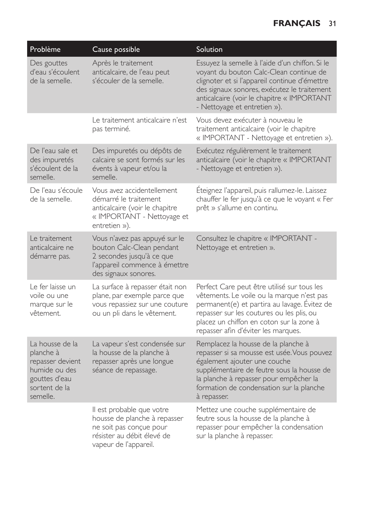| Problème                                                                                                        | Cause possible                                                                                                                                   | Solution                                                                                                                                                                                                                                                                  |
|-----------------------------------------------------------------------------------------------------------------|--------------------------------------------------------------------------------------------------------------------------------------------------|---------------------------------------------------------------------------------------------------------------------------------------------------------------------------------------------------------------------------------------------------------------------------|
| Des gouttes<br>d'eau s'écoulent<br>de la semelle.                                                               | Après le traitement<br>anticalcaire, de l'eau peut<br>s'écouler de la semelle.                                                                   | Essuyez la semelle à l'aide d'un chiffon. Si le<br>voyant du bouton Calc-Clean continue de<br>clignoter et si l'appareil continue d'émettre<br>des signaux sonores, exécutez le traitement<br>anticalcaire (voir le chapitre « IMPORTANT<br>- Nettoyage et entretien »).  |
|                                                                                                                 | Le traitement anticalcaire n'est<br>pas terminé.                                                                                                 | Vous devez exécuter à nouveau le<br>traitement anticalcaire (voir le chapitre<br>« IMPORTANT - Nettoyage et entretien »).                                                                                                                                                 |
| De l'eau sale et<br>des impuretés<br>s'écoulent de la<br>semelle.                                               | Des impuretés ou dépôts de<br>calcaire se sont formés sur les<br>évents à vapeur et/ou la<br>semelle.                                            | Exécutez régulièrement le traitement<br>anticalcaire (voir le chapitre « IMPORTANT<br>- Nettoyage et entretien »).                                                                                                                                                        |
| De l'eau s'écoule<br>de la semelle.                                                                             | Vous avez accidentellement<br>démarré le traitement<br>anticalcaire (voir le chapitre<br>« IMPORTANT - Nettoyage et<br>entretien »).             | Éteignez l'appareil, puis rallumez-le. Laissez<br>chauffer le fer jusqu'à ce que le voyant « Fer<br>prêt » s'allume en continu.                                                                                                                                           |
| Le traitement<br>anticalcaire ne<br>démarre pas.                                                                | Vous n'avez pas appuyé sur le<br>bouton Calc-Clean pendant<br>2 secondes jusqu'à ce que<br>l'appareil commence à émettre<br>des signaux sonores. | Consultez le chapitre « IMPORTANT -<br>Nettoyage et entretien ».                                                                                                                                                                                                          |
| Le fer laisse un<br>voile ou une<br>marque sur le<br>vêtement.                                                  | La surface à repasser était non<br>plane, par exemple parce que<br>vous repassiez sur une couture<br>ou un pli dans le vêtement.                 | Perfect Care peut être utilisé sur tous les<br>vêtements. Le voile ou la marque n'est pas<br>permanent(e) et partira au lavage. Évitez de<br>repasser sur les coutures ou les plis, ou<br>placez un chiffon en coton sur la zone à<br>repasser afin d'éviter les marques. |
| La housse de la<br>planche à<br>repasser devient<br>humide ou des<br>gouttes d'eau<br>sortent de la<br>semelle. | La vapeur s'est condensée sur<br>la housse de la planche à<br>repasser après une longue<br>séance de repassage.                                  | Remplacez la housse de la planche à<br>repasser si sa mousse est usée. Vous pouvez<br>également ajouter une couche<br>supplémentaire de feutre sous la housse de<br>la planche à repasser pour empêcher la<br>formation de condensation sur la planche<br>à repasser.     |
|                                                                                                                 | Il est probable que votre<br>housse de planche à repasser<br>ne soit pas conçue pour<br>résister au débit élevé de<br>vapeur de l'appareil.      | Mettez une couche supplémentaire de<br>feutre sous la housse de la planche à<br>repasser pour empêcher la condensation<br>sur la planche à repasser.                                                                                                                      |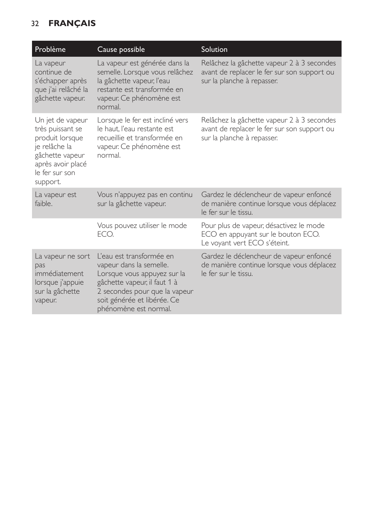| Problème                                                                                                                                       | Cause possible                                                                                                                                                                                              | Solution                                                                                                                |
|------------------------------------------------------------------------------------------------------------------------------------------------|-------------------------------------------------------------------------------------------------------------------------------------------------------------------------------------------------------------|-------------------------------------------------------------------------------------------------------------------------|
| La vapeur<br>continue de<br>s'échapper après<br>que j'ai relâché la<br>gâchette vapeur.                                                        | La vapeur est générée dans la<br>semelle. Lorsque vous relâchez<br>la gâchette vapeur, l'eau<br>restante est transformée en<br>vapeur. Ce phénomène est<br>normal.                                          | Relâchez la gâchette vapeur 2 à 3 secondes<br>avant de replacer le fer sur son support ou<br>sur la planche à repasser. |
| Un jet de vapeur<br>très puissant se<br>produit lorsque<br>je relâche la<br>gâchette vapeur<br>après avoir placé<br>le fer sur son<br>support. | Lorsque le fer est incliné vers<br>le haut, l'eau restante est<br>recueillie et transformée en<br>vapeur. Ce phénomène est<br>normal.                                                                       | Relâchez la gâchette vapeur 2 à 3 secondes<br>avant de replacer le fer sur son support ou<br>sur la planche à repasser. |
| La vapeur est<br>faible.                                                                                                                       | Vous n'appuyez pas en continu<br>sur la gâchette vapeur.                                                                                                                                                    | Gardez le déclencheur de vapeur enfoncé<br>de manière continue lorsque vous déplacez<br>le fer sur le tissu.            |
|                                                                                                                                                | Vous pouvez utiliser le mode<br>ECO.                                                                                                                                                                        | Pour plus de vapeur, désactivez le mode<br>ECO en appuyant sur le bouton ECO.<br>Le voyant vert ECO s'éteint.           |
| La vapeur ne sort<br>pas<br>immédiatement<br>lorsque j'appuie<br>sur la gâchette<br>vapeur.                                                    | L'eau est transformée en<br>vapeur dans la semelle.<br>Lorsque vous appuyez sur la<br>gâchette vapeur, il faut 1 à<br>2 secondes pour que la vapeur<br>soit générée et libérée. Ce<br>phénomène est normal. | Gardez le déclencheur de vapeur enfoncé<br>de manière continue lorsque vous déplacez<br>le fer sur le tissu.            |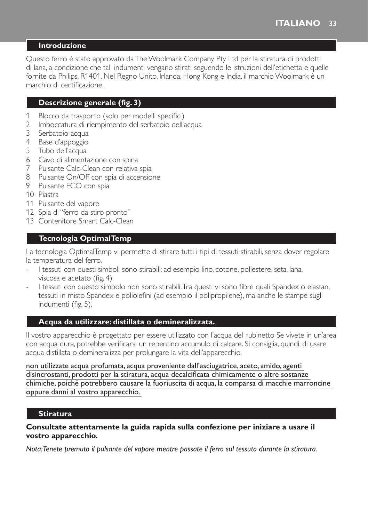#### <span id="page-32-0"></span>**Introduzione**

Questo ferro è stato approvato da The Woolmark Company Pty Ltd per la stiratura di prodotti di lana, a condizione che tali indumenti vengano stirati seguendo le istruzioni dell'etichetta e quelle fornite da Philips. R1401. Nel Regno Unito, Irlanda, Hong Kong e India, il marchio Woolmark è un marchio di certificazione.

#### **Descrizione generale (fig. 3)**

- 1 Blocco da trasporto (solo per modelli specifici)
- 2 Imboccatura di riempimento del serbatoio dell'acqua
- 3 Serbatoio acqua<br>4 Base d'annoggio
- 4 Base d'appoggio<br>5 Tubo dell'acqua
- Tubo dell'acqua
- 6 Cavo di alimentazione con spina<br>7 Pulsante Calc-Clean con relativa
- Pulsante Calc-Clean con relativa spia
- 8 Pulsante On/Off con spia di accensione<br>9 Pulsante ECO con spia
- Pulsante ECO con spia
- 10 Piastra
- 11 Pulsante del vapore
- 12 Spia di "ferro da stiro pronto"
- 13 Contenitore Smart Calc-Clean

#### **Tecnologia OptimalTemp**

La tecnologia OptimalTemp vi permette di stirare tutti i tipi di tessuti stirabili, senza dover regolare la temperatura del ferro.

- I tessuti con questi simboli sono stirabili: ad esempio lino, cotone, poliestere, seta, lana, viscosa e acetato (fig. 4).
- I tessuti con questo simbolo non sono stirabili. Tra questi vi sono fibre quali Spandex o elastan, tessuti in misto Spandex e poliolefini (ad esempio il polipropilene), ma anche le stampe sugli indumenti (fig. 5).

#### **Acqua da utilizzare: distillata o demineralizzata.**

Il vostro apparecchio è progettato per essere utilizzato con l'acqua del rubinetto Se vivete in un'area con acqua dura, potrebbe verificarsi un repentino accumulo di calcare. Si consiglia, quindi, di usare acqua distillata o demineralizza per prolungare la vita dell'apparecchio.

non utilizzate acqua profumata, acqua proveniente dall'asciugatrice, aceto, amido, agenti disincrostanti, prodotti per la stiratura, acqua decalcificata chimicamente o altre sostanze chimiche, poiché potrebbero causare la fuoriuscita di acqua, la comparsa di macchie marroncine oppure danni al vostro apparecchio.

#### **Stiratura**

#### **Consultate attentamente la guida rapida sulla confezione per iniziare a usare il vostro apparecchio.**

*Nota: Tenete premuto il pulsante del vapore mentre passate il ferro sul tessuto durante la stiratura.*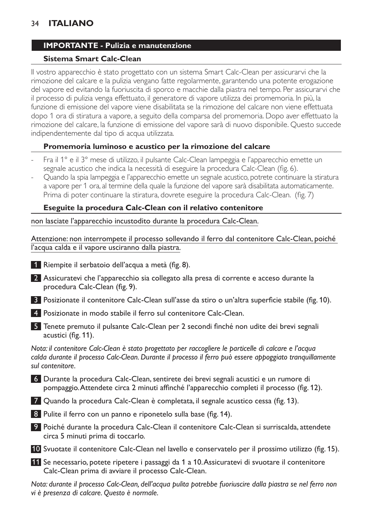#### **IMPORTANTE - Pulizia e manutenzione**

#### **Sistema Smart Calc-Clean**

Il vostro apparecchio è stato progettato con un sistema Smart Calc-Clean per assicurarvi che la rimozione del calcare e la pulizia vengano fatte regolarmente, garantendo una potente erogazione del vapore ed evitando la fuoriuscita di sporco e macchie dalla piastra nel tempo. Per assicurarvi che il processo di pulizia venga effettuato, il generatore di vapore utilizza dei promemoria. In più, la funzione di emissione del vapore viene disabilitata se la rimozione del calcare non viene effettuata dopo 1 ora di stiratura a vapore, a seguito della comparsa del promemoria. Dopo aver effettuato la rimozione del calcare, la funzione di emissione del vapore sarà di nuovo disponibile. Questo succede indipendentemente dal tipo di acqua utilizzata.

#### **Promemoria luminoso e acustico per la rimozione del calcare**

- Fra il 1° e il 3° mese di utilizzo, il pulsante Calc-Clean lampeggia e l'apparecchio emette un segnale acustico che indica la necessità di eseguire la procedura Calc-Clean (fig. 6).
- Quando la spia lampeggia e l'apparecchio emette un segnale acustico, potrete continuare la stiratura a vapore per 1 ora, al termine della quale la funzione del vapore sarà disabilitata automaticamente. Prima di poter continuare la stiratura, dovrete eseguire la procedura Calc-Clean. (fig. 7)

#### **Eseguite la procedura Calc-Clean con il relativo contenitore**

non lasciate l'apparecchio incustodito durante la procedura Calc-Clean.

Attenzione: non interrompete il processo sollevando il ferro dal contenitore Calc-Clean, poiché l'acqua calda e il vapore usciranno dalla piastra.

- 1 Riempite il serbatoio dell'acqua a metà (fig. 8).
- 2 Assicuratevi che l'apparecchio sia collegato alla presa di corrente e acceso durante la procedura Calc-Clean (fig. 9).
- **3** Posizionate il contenitore Calc-Clean sull'asse da stiro o un'altra superficie stabile (fig. 10).
- 4 Posizionate in modo stabile il ferro sul contenitore Calc-Clean.
- 5 Tenete premuto il pulsante Calc-Clean per 2 secondi finché non udite dei brevi segnali acustici (fig. 11).

*Nota: il contenitore Calc-Clean è stato progettato per raccogliere le particelle di calcare e l'acqua calda durante il processo Calc-Clean. Durante il processo il ferro può essere appoggiato tranquillamente sul contenitore.*

- 6 Durante la procedura Calc-Clean, sentirete dei brevi segnali acustici e un rumore di pompaggio. Attendete circa 2 minuti affinché l'apparecchio completi il processo (fig. 12).
- 7 Quando la procedura Calc-Clean è completata, il segnale acustico cessa (fig. 13).
- 8 Pulite il ferro con un panno e riponetelo sulla base (fig. 14).
- 9 Poiché durante la procedura Calc-Clean il contenitore Calc-Clean si surriscalda, attendete circa 5 minuti prima di toccarlo.
- 10 Svuotate il contenitore Calc-Clean nel lavello e conservatelo per il prossimo utilizzo (fig. 15).
- 11 Se necessario, potete ripetere i passaggi da 1 a 10. Assicuratevi di svuotare il contenitore Calc-Clean prima di avviare il processo Calc-Clean.

*Nota: durante il processo Calc-Clean, dell'acqua pulita potrebbe fuoriuscire dalla piastra se nel ferro non vi è presenza di calcare. Questo è normale.*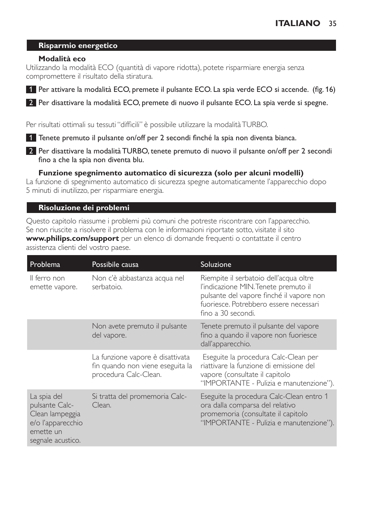#### **Risparmio energetico**

#### **Modalità eco**

Utilizzando la modalità ECO (quantità di vapore ridotta), potete risparmiare energia senza compromettere il risultato della stiratura.

1 Per attivare la modalità ECO, premete il pulsante ECO. La spia verde ECO si accende. (fig. 16)

2 Per disattivare la modalità ECO, premete di nuovo il pulsante ECO. La spia verde si spegne.

Per risultati ottimali su tessuti "difficili" è possibile utilizzare la modalità TURBO.

1 Tenete premuto il pulsante on/off per 2 secondi finché la spia non diventa bianca.

2 Per disattivare la modalità TURBO, tenete premuto di nuovo il pulsante on/off per 2 secondi fino a che la spia non diventa blu.

**Funzione spegnimento automatico di sicurezza (solo per alcuni modelli)** La funzione di spegnimento automatico di sicurezza spegne automaticamente l'apparecchio dopo 5 minuti di inutilizzo, per risparmiare energia.

#### **Risoluzione dei problemi**

Questo capitolo riassume i problemi più comuni che potreste riscontrare con l'apparecchio. Se non riuscite a risolvere il problema con le informazioni riportate sotto, visitate il sito **www.philips.com/support** per un elenco di domande frequenti o contattate il centro assistenza clienti del vostro paese.

| Problema                                                                                                | Possibile causa                                                                               | Soluzione                                                                                                                                                                                  |
|---------------------------------------------------------------------------------------------------------|-----------------------------------------------------------------------------------------------|--------------------------------------------------------------------------------------------------------------------------------------------------------------------------------------------|
| Il ferro non<br>emette vapore.                                                                          | Non c'è abbastanza acqua nel<br>serbatoio.                                                    | Riempite il serbatoio dell'acqua oltre<br>l'indicazione MIN. Tenete premuto il<br>pulsante del vapore finché il vapore non<br>fuoriesce. Potrebbero essere necessari<br>fino a 30 secondi. |
|                                                                                                         | Non avete premuto il pulsante<br>del vapore.                                                  | Tenete premuto il pulsante del vapore<br>fino a quando il vapore non fuoriesce<br>dall'apparecchio.                                                                                        |
|                                                                                                         | La funzione vapore è disattivata<br>fin quando non viene eseguita la<br>procedura Calc-Clean. | Eseguite la procedura Calc-Clean per<br>riattivare la funzione di emissione del<br>vapore (consultate il capitolo<br>"IMPORTANTE - Pulizia e manutenzione").                               |
| La spia del<br>pulsante Calc-<br>Clean lampeggia<br>e/o l'apparecchio<br>emette un<br>segnale acustico. | Si tratta del promemoria Calc-<br>Clean.                                                      | Eseguite la procedura Calc-Clean entro 1<br>ora dalla comparsa del relativo<br>promemoria (consultate il capitolo<br>"IMPORTANTE - Pulizia e manutenzione").                               |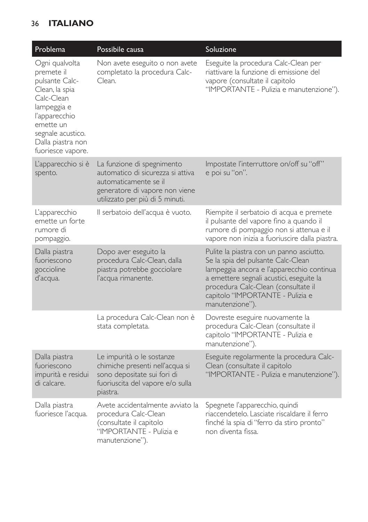| Problema                                                                                                                                                                                   | Possibile causa                                                                                                                                               | Soluzione                                                                                                                                                                                                                                                             |
|--------------------------------------------------------------------------------------------------------------------------------------------------------------------------------------------|---------------------------------------------------------------------------------------------------------------------------------------------------------------|-----------------------------------------------------------------------------------------------------------------------------------------------------------------------------------------------------------------------------------------------------------------------|
| Ogni qualvolta<br>premete il<br>pulsante Calc-<br>Clean, la spia<br>Calc-Clean<br>lampeggia e<br>l'apparecchio<br>emette un<br>segnale acustico.<br>Dalla piastra non<br>fuoriesce vapore. | Non avete eseguito o non avete<br>completato la procedura Calc-<br>Clean.                                                                                     | Eseguite la procedura Calc-Clean per<br>riattivare la funzione di emissione del<br>vapore (consultate il capitolo<br>"IMPORTANTE - Pulizia e manutenzione").                                                                                                          |
| L'apparecchio si è<br>spento.                                                                                                                                                              | La funzione di spegnimento<br>automatico di sicurezza si attiva<br>automaticamente se il<br>generatore di vapore non viene<br>utilizzato per più di 5 minuti. | Impostate l'interruttore on/off su "off"<br>e poi su "on".                                                                                                                                                                                                            |
| L'apparecchio<br>emette un forte<br>rumore di<br>pompaggio.                                                                                                                                | Il serbatoio dell'acqua è vuoto.                                                                                                                              | Riempite il serbatoio di acqua e premete<br>il pulsante del vapore fino a quando il<br>rumore di pompaggio non si attenua e il<br>vapore non inizia a fuoriuscire dalla piastra.                                                                                      |
| Dalla piastra<br>fuoriescono<br>goccioline<br>d'acqua.                                                                                                                                     | Dopo aver eseguito la<br>procedura Calc-Clean, dalla<br>piastra potrebbe gocciolare<br>l'acqua rimanente.                                                     | Pulite la piastra con un panno asciutto.<br>Se la spia del pulsante Calc-Clean<br>lampeggia ancora e l'apparecchio continua<br>a emettere segnali acustici, eseguite la<br>procedura Calc-Clean (consultate il<br>capitolo "IMPORTANTE - Pulizia e<br>manutenzione"). |
|                                                                                                                                                                                            | La procedura Calc-Clean non è<br>stata completata.                                                                                                            | Dovreste eseguire nuovamente la<br>procedura Calc-Clean (consultate il<br>capitolo "IMPORTANTE - Pulizia e<br>manutenzione").                                                                                                                                         |
| Dalla piastra<br>fuoriescono<br>impurità e residui<br>di calcare.                                                                                                                          | Le impurità o le sostanze<br>chimiche presenti nell'acqua si<br>sono depositate sui fori di<br>fuoriuscita del vapore e/o sulla<br>piastra.                   | Eseguite regolarmente la procedura Calc-<br>Clean (consultate il capitolo<br>"IMPORTANTE - Pulizia e manutenzione").                                                                                                                                                  |
| Dalla piastra<br>fuoriesce l'acqua.                                                                                                                                                        | Avete accidentalmente avviato la<br>procedura Calc-Clean<br>(consultate il capitolo<br>"IMPORTANTE - Pulizia e<br>manutenzione").                             | Spegnete l'apparecchio, quindi<br>riaccendetelo. Lasciate riscaldare il ferro<br>finché la spia di "ferro da stiro pronto"<br>non diventa fissa.                                                                                                                      |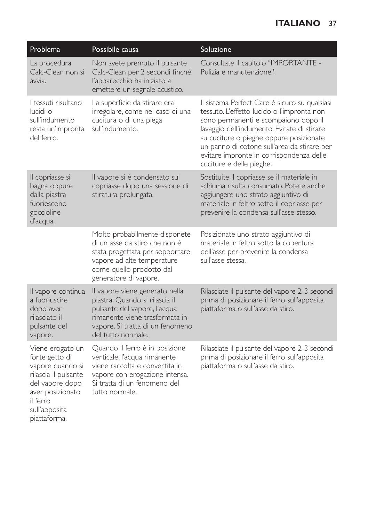| Problema                                                                                                                                           | Possibile causa                                                                                                                                                                              | Soluzione                                                                                                                                                                                                                                                                                                                                            |
|----------------------------------------------------------------------------------------------------------------------------------------------------|----------------------------------------------------------------------------------------------------------------------------------------------------------------------------------------------|------------------------------------------------------------------------------------------------------------------------------------------------------------------------------------------------------------------------------------------------------------------------------------------------------------------------------------------------------|
| La procedura<br>Calc-Clean non si<br>avvia.                                                                                                        | Non avete premuto il pulsante<br>Calc-Clean per 2 secondi finché<br>l'apparecchio ha iniziato a<br>emettere un segnale acustico.                                                             | Consultate il capitolo "IMPORTANTE -<br>Pulizia e manutenzione".                                                                                                                                                                                                                                                                                     |
| I tessuti risultano<br>lucidi o<br>sull'indumento<br>resta un'impronta<br>del ferro.                                                               | La superficie da stirare era<br>irregolare, come nel caso di una<br>cucitura o di una piega<br>sull'indumento.                                                                               | Il sistema Perfect Care è sicuro su qualsiasi<br>tessuto. L'effetto lucido o l'impronta non<br>sono permanenti e scompaiono dopo il<br>lavaggio dell'indumento. Evitate di stirare<br>su cuciture o pieghe oppure posizionate<br>un panno di cotone sull'area da stirare per<br>evitare impronte in corrispondenza delle<br>cuciture e delle pieghe. |
| Il copriasse si<br>bagna oppure<br>dalla piastra<br>fuoriescono<br>goccioline<br>d'acqua.                                                          | Il vapore si è condensato sul<br>copriasse dopo una sessione di<br>stiratura prolungata.                                                                                                     | Sostituite il copriasse se il materiale in<br>schiuma risulta consumato. Potete anche<br>aggiungere uno strato aggiuntivo di<br>materiale in feltro sotto il copriasse per<br>prevenire la condensa sull'asse stesso.                                                                                                                                |
|                                                                                                                                                    | Molto probabilmente disponete<br>di un asse da stiro che non è<br>stata progettata per sopportare<br>vapore ad alte temperature<br>come quello prodotto dal<br>generatore di vapore.         | Posizionate uno strato aggiuntivo di<br>materiale in feltro sotto la copertura<br>dell'asse per prevenire la condensa<br>sull'asse stessa.                                                                                                                                                                                                           |
| Il vapore continua<br>a fuoriuscire<br>dopo aver<br>rilasciato il<br>pulsante del<br>vapore.                                                       | Il vapore viene generato nella<br>piastra. Quando si rilascia il<br>pulsante del vapore, l'acqua<br>rimanente viene trasformata in<br>vapore. Si tratta di un fenomeno<br>del tutto normale. | Rilasciate il pulsante del vapore 2-3 secondi<br>prima di posizionare il ferro sull'apposita<br>piattaforma o sull'asse da stiro.                                                                                                                                                                                                                    |
| Viene erogato un<br>forte getto di<br>vapore quando si<br>rilascia il pulsante<br>del vapore dopo<br>aver posizionato<br>il ferro<br>sull'apposita | Quando il ferro è in posizione<br>verticale, l'acqua rimanente<br>viene raccolta e convertita in<br>vapore con erogazione intensa.<br>Si tratta di un fenomeno del<br>tutto normale.         | Rilasciate il pulsante del vapore 2-3 secondi<br>prima di posizionare il ferro sull'apposita<br>piattaforma o sull'asse da stiro.                                                                                                                                                                                                                    |

piattaforma.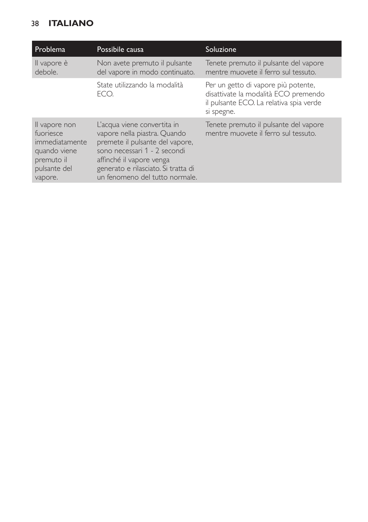| Problema                                                                                              | Possibile causa                                                                                                                                                                                                                     | Soluzione                                                                                                                            |
|-------------------------------------------------------------------------------------------------------|-------------------------------------------------------------------------------------------------------------------------------------------------------------------------------------------------------------------------------------|--------------------------------------------------------------------------------------------------------------------------------------|
| Il vapore è<br>debole.                                                                                | Non avete premuto il pulsante<br>del vapore in modo continuato.                                                                                                                                                                     | Tenete premuto il pulsante del vapore<br>mentre muovete il ferro sul tessuto.                                                        |
|                                                                                                       | State utilizzando la modalità<br>ECO.                                                                                                                                                                                               | Per un getto di vapore più potente,<br>disattivate la modalità ECO premendo<br>il pulsante ECO. La relativa spia verde<br>si spegne. |
| Il vapore non<br>fuoriesce<br>immediatamente<br>quando viene<br>premuto il<br>pulsante del<br>vapore. | L'acqua viene convertita in<br>vapore nella piastra. Quando<br>premete il pulsante del vapore,<br>sono necessari 1 - 2 secondi<br>affinché il vapore venga<br>generato e rilasciato. Si tratta di<br>un fenomeno del tutto normale. | Tenete premuto il pulsante del vapore<br>mentre muovete il ferro sul tessuto.                                                        |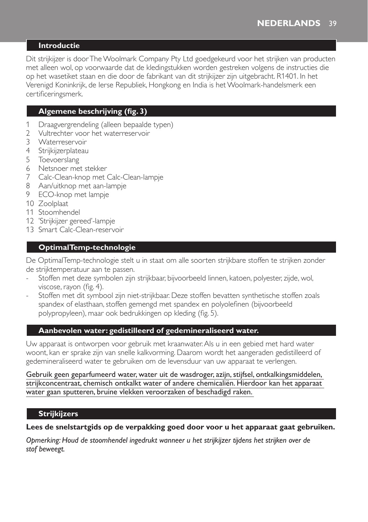#### <span id="page-38-0"></span>**Introductie**

Dit strijkijzer is door The Woolmark Company Pty Ltd goedgekeurd voor het strijken van producten met alleen wol, op voorwaarde dat de kledingstukken worden gestreken volgens de instructies die op het wasetiket staan en die door de fabrikant van dit strijkijzer zijn uitgebracht. R1401. In het Verenigd Koninkrijk, de Ierse Republiek, Hongkong en India is het Woolmark-handelsmerk een certificeringsmerk.

#### **Algemene beschrijving (fig. 3)**

- 1 Draagvergrendeling (alleen bepaalde typen)
- 2 Vultrechter voor het waterreservoir<br>3 Waterreservoir
- **Waterreservoir**
- 4 Strijkijzerplateau
- 5 Toevoerslang
- 6 Netsnoer met stekker
- 7 Calc-Clean-knop met Calc-Clean-lampje
- 8 Aan/uitknop met aan-lampje
- 9 ECO-knop met lampje
- 10 Zoolplaat
- 11 Stoomhendel
- 12 'Strijkijzer gereed'-lampje
- 13 Smart Calc-Clean-reservoir

#### **OptimalTemp-technologie**

De OptimalTemp-technologie stelt u in staat om alle soorten strijkbare stoffen te strijken zonder de strijktemperatuur aan te passen.

- Stoffen met deze symbolen zijn strijkbaar, bijvoorbeeld linnen, katoen, polyester, zijde, wol, viscose, rayon (fig. 4).
- Stoffen met dit symbool zijn niet-strijkbaar. Deze stoffen bevatten synthetische stoffen zoals spandex of elasthaan, stoffen gemengd met spandex en polyolefinen (bijvoorbeeld polypropyleen), maar ook bedrukkingen op kleding (fig. 5).

#### **Aanbevolen water: gedistilleerd of gedemineraliseerd water.**

Uw apparaat is ontworpen voor gebruik met kraanwater. Als u in een gebied met hard water woont, kan er sprake zijn van snelle kalkvorming. Daarom wordt het aangeraden gedistilleerd of gedemineraliseerd water te gebruiken om de levensduur van uw apparaat te verlengen.

Gebruik geen geparfumeerd water, water uit de wasdroger, azijn, stijfsel, ontkalkingsmiddelen, strijkconcentraat, chemisch ontkalkt water of andere chemicaliën. Hierdoor kan het apparaat water gaan sputteren, bruine vlekken veroorzaken of beschadigd raken.

#### **Strijkijzers**

**Lees de snelstartgids op de verpakking goed door voor u het apparaat gaat gebruiken.**

*Opmerking: Houd de stoomhendel ingedrukt wanneer u het strijkijzer tijdens het strijken over de stof beweegt.*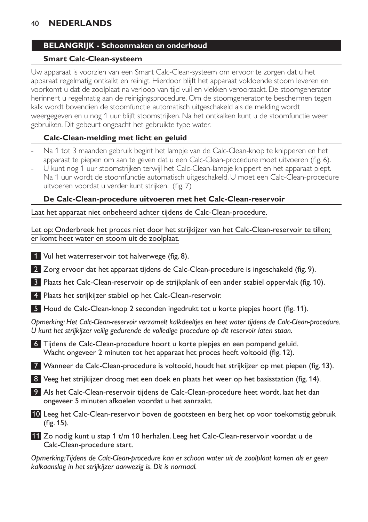#### **BELANGRIJK - Schoonmaken en onderhoud**

#### **Smart Calc-Clean-systeem**

Uw apparaat is voorzien van een Smart Calc-Clean-systeem om ervoor te zorgen dat u het apparaat regelmatig ontkalkt en reinigt. Hierdoor blijft het apparaat voldoende stoom leveren en voorkomt u dat de zoolplaat na verloop van tijd vuil en vlekken veroorzaakt. De stoomgenerator herinnert u regelmatig aan de reinigingsprocedure. Om de stoomgenerator te beschermen tegen kalk wordt bovendien de stoomfunctie automatisch uitgeschakeld als de melding wordt weergegeven en u nog 1 uur blijft stoomstrijken. Na het ontkalken kunt u de stoomfunctie weer gebruiken. Dit gebeurt ongeacht het gebruikte type water.

#### **Calc-Clean-melding met licht en geluid**

- Na 1 tot 3 maanden gebruik begint het lampje van de Calc-Clean-knop te knipperen en het apparaat te piepen om aan te geven dat u een Calc-Clean-procedure moet uitvoeren (fig. 6).
- U kunt nog 1 uur stoomstrijken terwijl het Calc-Clean-lampje knippert en het apparaat piept. Na 1 uur wordt de stoomfunctie automatisch uitgeschakeld. U moet een Calc-Clean-procedure uitvoeren voordat u verder kunt strijken. (fig. 7)

#### **De Calc-Clean-procedure uitvoeren met het Calc-Clean-reservoir**

Laat het apparaat niet onbeheerd achter tijdens de Calc-Clean-procedure.

Let op: Onderbreek het proces niet door het strijkijzer van het Calc-Clean-reservoir te tillen; er komt heet water en stoom uit de zoolplaat.

- 1 Vul het waterreservoir tot halverwege (fig. 8).
- 2 Zorg ervoor dat het apparaat tijdens de Calc-Clean-procedure is ingeschakeld (fig. 9).
- 3 Plaats het Calc-Clean-reservoir op de strijkplank of een ander stabiel oppervlak (fig. 10).
- 4 Plaats het strijkijzer stabiel op het Calc-Clean-reservoir.
- 5 Houd de Calc-Clean-knop 2 seconden ingedrukt tot u korte piepjes hoort (fig. 11).

*Opmerking: Het Calc-Clean-reservoir verzamelt kalkdeeltjes en heet water tijdens de Calc-Clean-procedure. U kunt het strijkijzer veilig gedurende de volledige procedure op dit reservoir laten staan.*

- 6 Tijdens de Calc-Clean-procedure hoort u korte piepjes en een pompend geluid. Wacht ongeveer 2 minuten tot het apparaat het proces heeft voltooid (fig. 12).
- 7 Wanneer de Calc-Clean-procedure is voltooid, houdt het strijkijzer op met piepen (fig. 13).
- 8 Veeg het strijkijzer droog met een doek en plaats het weer op het basisstation (fig. 14).
- 9 Als het Calc-Clean-reservoir tijdens de Calc-Clean-procedure heet wordt, laat het dan ongeveer 5 minuten afkoelen voordat u het aanraakt.
- 10 Leeg het Calc-Clean-reservoir boven de gootsteen en berg het op voor toekomstig gebruik (fig. 15).
- 11 Zo nodig kunt u stap 1 t/m 10 herhalen. Leeg het Calc-Clean-reservoir voordat u de Calc-Clean-procedure start.

*Opmerking: Tijdens de Calc-Clean-procedure kan er schoon water uit de zoolplaat komen als er geen kalkaanslag in het strijkijzer aanwezig is. Dit is normaal.*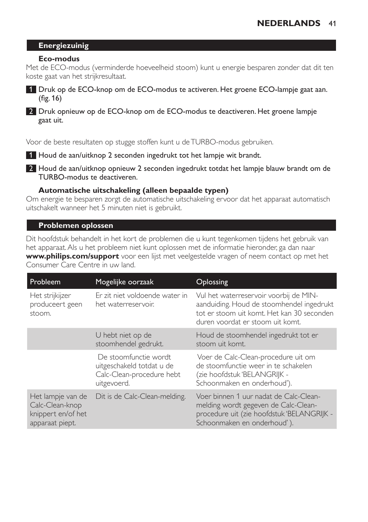#### **Energiezuinig**

#### **Eco-modus**

Met de ECO-modus (verminderde hoeveelheid stoom) kunt u energie besparen zonder dat dit ten koste gaat van het strijkresultaat.

- 1 Druk op de ECO-knop om de ECO-modus te activeren. Het groene ECO-lampje gaat aan. (fig. 16)
- 2 Druk opnieuw op de ECO-knop om de ECO-modus te deactiveren. Het groene lampje gaat uit.

Voor de beste resultaten op stugge stoffen kunt u de TURBO-modus gebruiken.

1 Houd de aan/uitknop 2 seconden ingedrukt tot het lampje wit brandt.

2 Houd de aan/uitknop opnieuw 2 seconden ingedrukt totdat het lampje blauw brandt om de TURBO-modus te deactiveren.

#### **Automatische uitschakeling (alleen bepaalde typen)**

Om energie te besparen zorgt de automatische uitschakeling ervoor dat het apparaat automatisch uitschakelt wanneer het 5 minuten niet is gebruikt.

#### **Problemen oplossen**

Dit hoofdstuk behandelt in het kort de problemen die u kunt tegenkomen tijdens het gebruik van het apparaat. Als u het probleem niet kunt oplossen met de informatie hieronder, ga dan naar **www.philips.com/support** voor een lijst met veelgestelde vragen of neem contact op met het Consumer Care Centre in uw land.

| Probleem                                                                      | Mogelijke oorzaak                                                                              | Oplossing                                                                                                                                                             |
|-------------------------------------------------------------------------------|------------------------------------------------------------------------------------------------|-----------------------------------------------------------------------------------------------------------------------------------------------------------------------|
| Het strijkijzer<br>produceert geen<br>stoom.                                  | Er zit niet voldoende water in<br>het waterreservoir.                                          | Vul het waterreservoir voorbij de MIN-<br>aanduiding. Houd de stoomhendel ingedrukt<br>tot er stoom uit komt. Het kan 30 seconden<br>duren voordat er stoom uit komt. |
|                                                                               | U hebt niet op de<br>stoomhendel gedrukt.                                                      | Houd de stoomhendel ingedrukt tot er<br>stoom uit komt.                                                                                                               |
|                                                                               | De stoomfunctie wordt<br>uitgeschakeld totdat u de<br>Calc-Clean-procedure hebt<br>uitgevoerd. | Voer de Calc-Clean-procedure uit om<br>de stoomfunctie weer in te schakelen<br>(zie hoofdstuk 'BELANGRIJK -<br>Schoonmaken en onderhoud').                            |
| Het lampje van de<br>Calc-Clean-knop<br>knippert en/of het<br>apparaat piept. | Dit is de Calc-Clean-melding.                                                                  | Voer binnen 1 uur nadat de Calc-Clean-<br>melding wordt gegeven de Calc-Clean-<br>procedure uit (zie hoofdstuk 'BELANGRIJK -<br>Schoonmaken en onderhoud').           |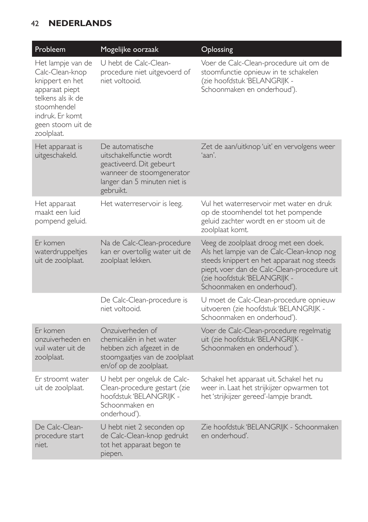## 42 **NEDERLANDS**

| Probleem                                                                                                                                                            | Mogelijke oorzaak                                                                                                                                | Oplossing                                                                                                                                                                                                                                      |
|---------------------------------------------------------------------------------------------------------------------------------------------------------------------|--------------------------------------------------------------------------------------------------------------------------------------------------|------------------------------------------------------------------------------------------------------------------------------------------------------------------------------------------------------------------------------------------------|
| Het lampje van de<br>Calc-Clean-knop<br>knippert en het<br>apparaat piept<br>telkens als ik de<br>stoomhendel<br>indruk. Er komt<br>geen stoom uit de<br>zoolplaat. | U hebt de Calc-Clean-<br>procedure niet uitgevoerd of<br>niet voltooid.                                                                          | Voer de Calc-Clean-procedure uit om de<br>stoomfunctie opnieuw in te schakelen<br>(zie hoofdstuk 'BELANGRIJK -<br>Schoonmaken en onderhoud').                                                                                                  |
| Het apparaat is<br>uitgeschakeld.                                                                                                                                   | De automatische<br>uitschakelfunctie wordt<br>geactiveerd. Dit gebeurt<br>wanneer de stoomgenerator<br>langer dan 5 minuten niet is<br>gebruikt. | Zet de aan/uitknop 'uit' en vervolgens weer<br>'aan'.                                                                                                                                                                                          |
| Het apparaat<br>maakt een luid<br>pompend geluid.                                                                                                                   | Het waterreservoir is leeg.                                                                                                                      | Vul het waterreservoir met water en druk<br>op de stoomhendel tot het pompende<br>geluid zachter wordt en er stoom uit de<br>zoolplaat komt.                                                                                                   |
| Er komen<br>waterdruppeltjes<br>uit de zoolplaat.                                                                                                                   | Na de Calc-Clean-procedure<br>kan er overtollig water uit de<br>zoolplaat lekken.                                                                | Veeg de zoolplaat droog met een doek.<br>Als het lampje van de Calc-Clean-knop nog<br>steeds knippert en het apparaat nog steeds<br>piept, voer dan de Calc-Clean-procedure uit<br>(zie hoofdstuk 'BELANGRIJK -<br>Schoonmaken en onderhoud'). |
|                                                                                                                                                                     | De Calc-Clean-procedure is<br>niet voltooid.                                                                                                     | U moet de Calc-Clean-procedure opnieuw<br>uitvoeren (zie hoofdstuk 'BELANGRIJK -<br>Schoonmaken en onderhoud').                                                                                                                                |
| Er komen<br>onzuiverheden en<br>vuil water uit de<br>zoolplaat.                                                                                                     | Onzuiverheden of<br>chemicaliën in het water<br>hebben zich afgezet in de<br>stoomgaatjes van de zoolplaat<br>en/of op de zoolplaat.             | Voer de Calc-Clean-procedure regelmatig<br>uit (zie hoofdstuk 'BELANGRIJK -<br>Schoonmaken en onderhoud').                                                                                                                                     |
| Er stroomt water<br>uit de zoolplaat.                                                                                                                               | U hebt per ongeluk de Calc-<br>Clean-procedure gestart (zie<br>hoofdstuk 'BELANGRIJK -<br>Schoonmaken en<br>onderhoud').                         | Schakel het apparaat uit. Schakel het nu<br>weer in. Laat het strijkijzer opwarmen tot<br>het 'strijkijzer gereed'-lampje brandt.                                                                                                              |
| De Calc-Clean-<br>procedure start<br>niet.                                                                                                                          | U hebt niet 2 seconden op<br>de Calc-Clean-knop gedrukt<br>tot het apparaat begon te<br>piepen.                                                  | Zie hoofdstuk 'BELANGRIJK - Schoonmaken<br>en onderhoud'.                                                                                                                                                                                      |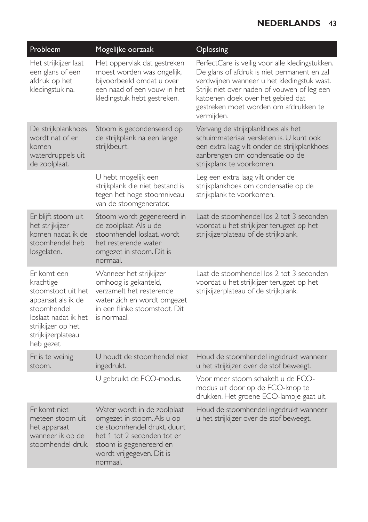## **NEDERLANDS** 43

| Probleem                                                                                                                                                              | Mogelijke oorzaak                                                                                                                                                                           | Oplossing                                                                                                                                                                                                                                                                               |
|-----------------------------------------------------------------------------------------------------------------------------------------------------------------------|---------------------------------------------------------------------------------------------------------------------------------------------------------------------------------------------|-----------------------------------------------------------------------------------------------------------------------------------------------------------------------------------------------------------------------------------------------------------------------------------------|
| Het strijkijzer laat<br>een glans of een<br>afdruk op het<br>kledingstuk na.                                                                                          | Het oppervlak dat gestreken<br>moest worden was ongelijk,<br>bijvoorbeeld omdat u over<br>een naad of een youw in het<br>kledingstuk hebt gestreken.                                        | PerfectCare is veilig voor alle kledingstukken.<br>De glans of afdruk is niet permanent en zal<br>verdwijnen wanneer u het kledingstuk wast.<br>Strijk niet over naden of vouwen of leg een<br>katoenen doek over het gebied dat<br>gestreken moet worden om afdrukken te<br>vermijden. |
| De strijkplankhoes<br>wordt nat of er<br>komen<br>waterdruppels uit<br>de zoolplaat.                                                                                  | Stoom is gecondenseerd op<br>de strijkplank na een lange<br>strijkbeurt.                                                                                                                    | Vervang de strijkplankhoes als het<br>schuimmateriaal versleten is. U kunt ook<br>een extra laag vilt onder de strijkplankhoes<br>aanbrengen om condensatie op de<br>strijkplank te voorkomen.                                                                                          |
|                                                                                                                                                                       | U hebt mogelijk een<br>strijkplank die niet bestand is<br>tegen het hoge stoomniveau<br>van de stoomgenerator.                                                                              | Leg een extra laag vilt onder de<br>strijkplankhoes om condensatie op de<br>strijkplank te voorkomen.                                                                                                                                                                                   |
| Er blijft stoom uit<br>het strijkijzer<br>komen nadat ik de<br>stoomhendel heb<br>losgelaten.                                                                         | Stoom wordt gegenereerd in<br>de zoolplaat. Als u de<br>stoomhendel loslaat. wordt<br>het resterende water<br>omgezet in stoom. Dit is<br>normaal.                                          | Laat de stoomhendel los 2 tot 3 seconden<br>voordat u het strijkijzer terugzet op het<br>strijkijzerplateau of de strijkplank.                                                                                                                                                          |
| Er komt een<br>krachtige<br>stoomstoot uit het<br>apparaat als ik de<br>stoomhendel<br>loslaat nadat ik het<br>strijkijzer op het<br>strijkijzerplateau<br>heb gezet. | Wanneer het strijkijzer<br>omhoog is gekanteld,<br>verzamelt het resterende<br>water zich en wordt omgezet<br>in een flinke stoomstoot. Dit<br>is normaal.                                  | Laat de stoomhendel los 2 tot 3 seconden<br>voordat u het strijkijzer terugzet op het<br>strijkijzerplateau of de strijkplank.                                                                                                                                                          |
| Er is te weinig<br>stoom.                                                                                                                                             | U houdt de stoomhendel niet<br>ingedrukt.                                                                                                                                                   | Houd de stoomhendel ingedrukt wanneer<br>u het strijkijzer over de stof beweegt.                                                                                                                                                                                                        |
|                                                                                                                                                                       | U gebruikt de ECO-modus.                                                                                                                                                                    | Voor meer stoom schakelt u de ECO-<br>modus uit door op de ECO-knop te<br>drukken. Het groene ECO-lampje gaat uit.                                                                                                                                                                      |
| Er komt niet<br>meteen stoom uit<br>het apparaat<br>wanneer ik op de<br>stoomhendel druk.                                                                             | Water wordt in de zoolplaat<br>omgezet in stoom. Als u op<br>de stoomhendel drukt, duurt<br>het 1 tot 2 seconden tot er<br>stoom is gegenereerd en<br>wordt vrijgegeven. Dit is<br>normaal. | Houd de stoomhendel ingedrukt wanneer<br>u het strijkijzer over de stof beweegt.                                                                                                                                                                                                        |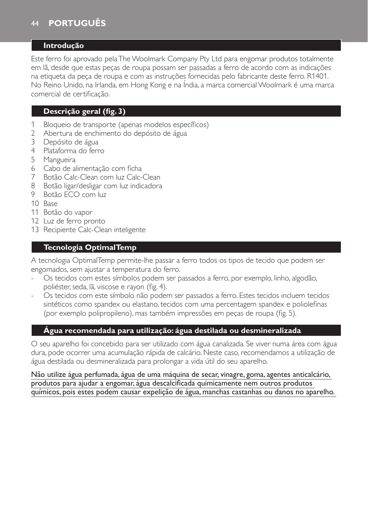#### <span id="page-43-0"></span>**Introdução**

Este ferro foi aprovado pela The Woolmark Company Pty Ltd para engomar produtos totalmente em lã, desde que estas peças de roupa possam ser passadas a ferro de acordo com as indicações na etiqueta da peça de roupa e com as instruções fornecidas pelo fabricante deste ferro. R1401. No Reino Unido, na Irlanda, em Hong Kong e na Índia, a marca comercial Woolmark é uma marca comercial de certificação.

#### **Descrição geral (fig. 3)**

- 1 Bloqueio de transporte (apenas modelos específicos)
- 2 Abertura de enchimento do depósito de água
- Depósito de água
- 4 Plataforma do ferro
- 5 Mangueira
- 6 Cabo de alimentação com ficha
- 7 Botão Calc-Clean com luz Calc-Clean
- 8 Botão ligar/desligar com luz indicadora
- 9 Botão ECO com luz
- 10 Base
- 11 Botão do vapor
- 12 Luz de ferro pronto
- 13 Recipiente Calc-Clean inteligente

#### **Tecnologia OptimalTemp**

A tecnologia OptimalTemp permite-lhe passar a ferro todos os tipos de tecido que podem ser engomados, sem ajustar a temperatura do ferro.

- Os tecidos com estes símbolos podem ser passados a ferro, por exemplo, linho, algodão, poliéster, seda, lã, viscose e rayon (fig. 4).
- Os tecidos com este símbolo não podem ser passados a ferro. Estes tecidos incluem tecidos sintéticos como spandex ou elastano, tecidos com uma percentagem spandex e poliolefinas (por exemplo polipropileno), mas também impressões em peças de roupa (fig. 5).

#### **Água recomendada para utilização: água destilada ou desmineralizada**

O seu aparelho foi concebido para ser utilizado com água canalizada. Se viver numa área com água dura, pode ocorrer uma acumulação rápida de calcário. Neste caso, recomendamos a utilização de água destilada ou desmineralizada para prolongar a vida útil do seu aparelho.

Não utilize água perfumada, água de uma máquina de secar, vinagre, goma, agentes anticalcário, produtos para ajudar a engomar, água descalcificada quimicamente nem outros produtos químicos, pois estes podem causar expelição de água, manchas castanhas ou danos no aparelho.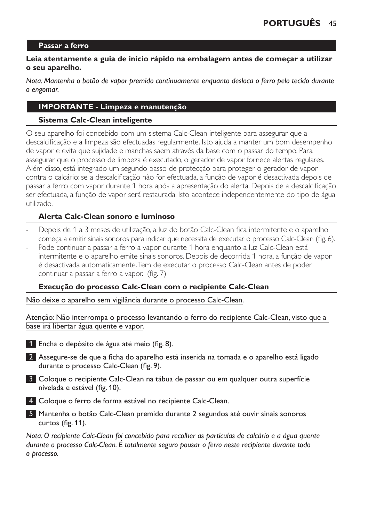#### **Passar a ferro**

#### **Leia atentamente a guia de início rápido na embalagem antes de começar a utilizar o seu aparelho.**

*Nota: Mantenha o botão de vapor premido continuamente enquanto desloca o ferro pelo tecido durante o engomar.*

#### **IMPORTANTE - Limpeza e manutenção**

#### **Sistema Calc-Clean inteligente**

O seu aparelho foi concebido com um sistema Calc-Clean inteligente para assegurar que a descalcificação e a limpeza são efectuadas regularmente. Isto ajuda a manter um bom desempenho de vapor e evita que sujidade e manchas saem através da base com o passar do tempo. Para assegurar que o processo de limpeza é executado, o gerador de vapor fornece alertas regulares. Além disso, está integrado um segundo passo de protecção para proteger o gerador de vapor contra o calcário: se a descalcificação não for efectuada, a função de vapor é desactivada depois de passar a ferro com vapor durante 1 hora após a apresentação do alerta. Depois de a descalcificação ser efectuada, a função de vapor será restaurada. Isto acontece independentemente do tipo de água utilizado.

#### **Alerta Calc-Clean sonoro e luminoso**

- Depois de 1 a 3 meses de utilização, a luz do botão Calc-Clean fica intermitente e o aparelho começa a emitir sinais sonoros para indicar que necessita de executar o processo Calc-Clean (fig. 6).
- Pode continuar a passar a ferro a vapor durante 1 hora enquanto a luz Calc-Clean está intermitente e o aparelho emite sinais sonoros. Depois de decorrida 1 hora, a função de vapor é desactivada automaticamente. Tem de executar o processo Calc-Clean antes de poder continuar a passar a ferro a vapor. (fig. 7)

#### **Execução do processo Calc-Clean com o recipiente Calc-Clean**

Não deixe o aparelho sem vigilância durante o processo Calc-Clean.

Atenção: Não interrompa o processo levantando o ferro do recipiente Calc-Clean, visto que a base irá libertar água quente e vapor.

- 1 Encha o depósito de água até meio (fig. 8).
- 2 Assegure-se de que a ficha do aparelho está inserida na tomada e o aparelho está ligado durante o processo Calc-Clean (fig. 9).
- 3 Coloque o recipiente Calc-Clean na tábua de passar ou em qualquer outra superfície nivelada e estável (fig. 10).
- 4 Coloque o ferro de forma estável no recipiente Calc-Clean.
- 5 Mantenha o botão Calc-Clean premido durante 2 segundos até ouvir sinais sonoros curtos (fig. 11).

*Nota: O recipiente Calc-Clean foi concebido para recolher as partículas de calcário e a água quente durante o processo Calc-Clean. É totalmente seguro pousar o ferro neste recipiente durante todo o processo.*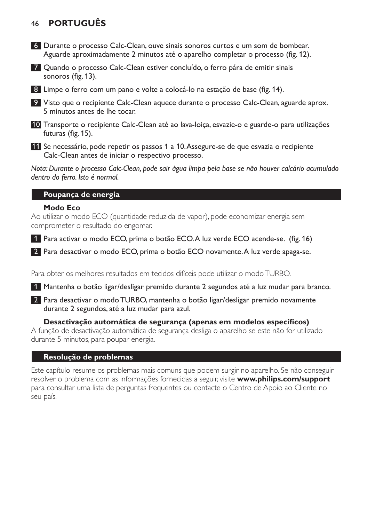6 Durante o processo Calc-Clean, ouve sinais sonoros curtos e um som de bombear. Aguarde aproximadamente 2 minutos até o aparelho completar o processo (fig. 12).

7 Quando o processo Calc-Clean estiver concluído, o ferro pára de emitir sinais sonoros (fig. 13).

8 Limpe o ferro com um pano e volte a colocá-lo na estação de base (fig. 14).

9 Visto que o recipiente Calc-Clean aquece durante o processo Calc-Clean, aguarde aprox. 5 minutos antes de lhe tocar.

10 Transporte o recipiente Calc-Clean até ao lava-loiça, esvazie-o e guarde-o para utilizações futuras (fig. 15).

11 Se necessário, pode repetir os passos 1 a 10. Assegure-se de que esvazia o recipiente Calc-Clean antes de iniciar o respectivo processo.

*Nota: Durante o processo Calc-Clean, pode sair água limpa pela base se não houver calcário acumulado dentro do ferro. Isto é normal.*

#### **Poupança de energia**

#### **Modo Eco**

Ao utilizar o modo ECO (quantidade reduzida de vapor), pode economizar energia sem comprometer o resultado do engomar.

1 Para activar o modo ECO, prima o botão ECO. A luz verde ECO acende-se. (fig. 16)

2 Para desactivar o modo ECO, prima o botão ECO novamente. A luz verde apaga-se.

Para obter os melhores resultados em tecidos difíceis pode utilizar o modo TURBO.

1 Mantenha o botão ligar/desligar premido durante 2 segundos até a luz mudar para branco.

2 Para desactivar o modo TURBO, mantenha o botão ligar/desligar premido novamente durante 2 segundos, até a luz mudar para azul.

**Desactivação automática de segurança (apenas em modelos específicos)**

A função de desactivação automática de segurança desliga o aparelho se este não for utilizado durante 5 minutos, para poupar energia.

#### **Resolução de problemas**

Este capítulo resume os problemas mais comuns que podem surgir no aparelho. Se não conseguir resolver o problema com as informações fornecidas a seguir, visite **www.philips.com/support** para consultar uma lista de perguntas frequentes ou contacte o Centro de Apoio ao Cliente no seu país.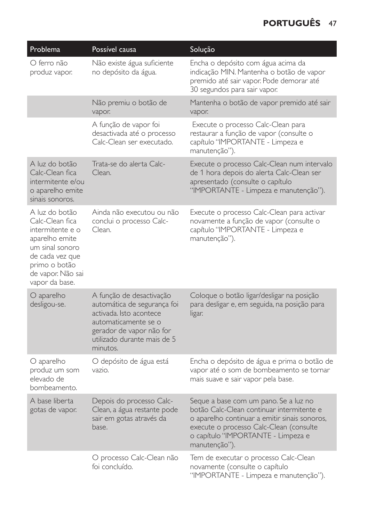| Problema                                                                                                                                                              | Possível causa                                                                                                                                                                    | Solução                                                                                                                                                                                                                               |
|-----------------------------------------------------------------------------------------------------------------------------------------------------------------------|-----------------------------------------------------------------------------------------------------------------------------------------------------------------------------------|---------------------------------------------------------------------------------------------------------------------------------------------------------------------------------------------------------------------------------------|
| O ferro não<br>produz vapor.                                                                                                                                          | Não existe água suficiente<br>no depósito da água.                                                                                                                                | Encha o depósito com água acima da<br>indicação MIN. Mantenha o botão de vapor<br>premido até sair vapor. Pode demorar até<br>30 segundos para sair vapor.                                                                            |
|                                                                                                                                                                       | Não premiu o botão de<br>vapor.                                                                                                                                                   | Mantenha o botão de vapor premido até sair<br>vapor.                                                                                                                                                                                  |
|                                                                                                                                                                       | A função de vapor foi<br>desactivada até o processo<br>Calc-Clean ser executado.                                                                                                  | Execute o processo Calc-Clean para<br>restaurar a função de vapor (consulte o<br>capítulo "IMPORTANTE - Limpeza e<br>manutenção").                                                                                                    |
| A luz do botão<br>Calc-Clean fica<br>intermitente e/ou<br>o aparelho emite<br>sinais sonoros.                                                                         | Trata-se do alerta Calc-<br>Clean.                                                                                                                                                | Execute o processo Calc-Clean num intervalo<br>de 1 hora depois do alerta Calc-Clean ser<br>apresentado (consulte o capítulo<br>"IMPORTANTE - Limpeza e manutenção").                                                                 |
| A luz do botão<br>Calc-Clean fica<br>intermitente e o<br>aparelho emite<br>um sinal sonoro<br>de cada vez que<br>primo o botão<br>de vapor. Não sai<br>vapor da base. | Ainda não executou ou não<br>conclui o processo Calc-<br>Clean.                                                                                                                   | Execute o processo Calc-Clean para activar<br>novamente a função de vapor (consulte o<br>capítulo "IMPORTANTE - Limpeza e<br>manutenção").                                                                                            |
| O aparelho<br>desligou-se.                                                                                                                                            | A função de desactivação<br>automática de segurança foi<br>activada. Isto acontece<br>automaticamente se o<br>gerador de vapor não for<br>utilizado durante mais de 5<br>minutos. | Coloque o botão ligar/desligar na posição<br>para desligar e, em seguida, na posição para<br>ligar.                                                                                                                                   |
| O aparelho<br>produz um som<br>elevado de<br>bombeamento.                                                                                                             | O depósito de água está<br>vazio.                                                                                                                                                 | Encha o depósito de água e prima o botão de<br>vapor até o som de bombeamento se tornar<br>mais suave e sair vapor pela base.                                                                                                         |
| A base liberta<br>gotas de vapor.                                                                                                                                     | Depois do processo Calc-<br>Clean, a água restante pode<br>sair em gotas através da<br>base.                                                                                      | Seque a base com um pano. Se a luz no<br>botão Calc-Clean continuar intermitente e<br>o aparelho continuar a emitir sinais sonoros,<br>execute o processo Calc-Clean (consulte<br>o capítulo "IMPORTANTE - Limpeza e<br>manutenção"). |
|                                                                                                                                                                       | O processo Calc-Clean não<br>foi concluído.                                                                                                                                       | Tem de executar o processo Calc-Clean<br>novamente (consulte o capítulo<br>"IMPORTANTE - Limpeza e manutenção").                                                                                                                      |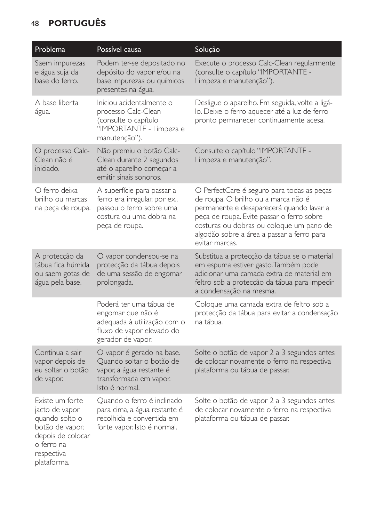| Problema                                                                                                                               | Possível causa                                                                                                                       | Solução                                                                                                                                                                                                                                                                                |
|----------------------------------------------------------------------------------------------------------------------------------------|--------------------------------------------------------------------------------------------------------------------------------------|----------------------------------------------------------------------------------------------------------------------------------------------------------------------------------------------------------------------------------------------------------------------------------------|
| Saem impurezas<br>e água suja da<br>base do ferro.                                                                                     | Podem ter-se depositado no<br>depósito do vapor e/ou na<br>base impurezas ou químicos<br>presentes na água.                          | Execute o processo Calc-Clean regularmente<br>(consulte o capítulo "IMPORTANTE -<br>Limpeza e manutenção").                                                                                                                                                                            |
| A base liberta<br>água.                                                                                                                | Iniciou acidentalmente o<br>processo Calc-Clean<br>(consulte o capítulo<br>"IMPORTANTE - Limpeza e<br>manutenção").                  | Desligue o aparelho. Em seguida, volte a ligá-<br>lo. Deixe o ferro aquecer até a luz de ferro<br>pronto permanecer continuamente acesa.                                                                                                                                               |
| O processo Calc-<br>Clean não é<br>iniciado.                                                                                           | Não premiu o botão Calc-<br>Clean durante 2 segundos<br>até o aparelho começar a<br>emitir sinais sonoros.                           | Consulte o capítulo "IMPORTANTE -<br>Limpeza e manutenção".                                                                                                                                                                                                                            |
| O ferro deixa<br>brilho ou marcas<br>na peça de roupa.                                                                                 | A superfície para passar a<br>ferro era irregular, por ex.,<br>passou o ferro sobre uma<br>costura ou uma dobra na<br>peça de roupa. | O PerfectCare é seguro para todas as peças<br>de roupa. O brilho ou a marca não é<br>permanente e desaparecerá quando lavar a<br>peça de roupa. Evite passar o ferro sobre<br>costuras ou dobras ou coloque um pano de<br>algodão sobre a área a passar a ferro para<br>evitar marcas. |
| A protecção da<br>tábua fica húmida<br>ou saem gotas de<br>água pela base.                                                             | O vapor condensou-se na<br>protecção da tábua depois<br>de uma sessão de engomar<br>prolongada.                                      | Substitua a protecção da tábua se o material<br>em espuma estiver gasto. Também pode<br>adicionar uma camada extra de material em<br>feltro sob a protecção da tábua para impedir<br>a condensação na mesma.                                                                           |
|                                                                                                                                        | Poderá ter uma tábua de<br>engomar que não é<br>adequada à utilização com o<br>fluxo de vapor elevado do<br>gerador de vapor.        | Coloque uma camada extra de feltro sob a<br>protecção da tábua para evitar a condensação<br>na tábua.                                                                                                                                                                                  |
| Continua a sair<br>vapor depois de<br>eu soltar o botão<br>de vapor.                                                                   | O vapor é gerado na base.<br>Quando soltar o botão de<br>vapor, a água restante é<br>transformada em vapor.<br>Isto é normal.        | Solte o botão de vapor 2 a 3 segundos antes<br>de colocar novamente o ferro na respectiva<br>plataforma ou tábua de passar.                                                                                                                                                            |
| Existe um forte<br>jacto de vapor<br>quando solto o<br>botão de vapor,<br>depois de colocar<br>o ferro na<br>respectiva<br>plataforma. | Quando o ferro é inclinado<br>para cima, a água restante é<br>recolhida e convertida em<br>forte vapor. Isto é normal.               | Solte o botão de vapor 2 a 3 segundos antes<br>de colocar novamente o ferro na respectiva<br>plataforma ou tábua de passar.                                                                                                                                                            |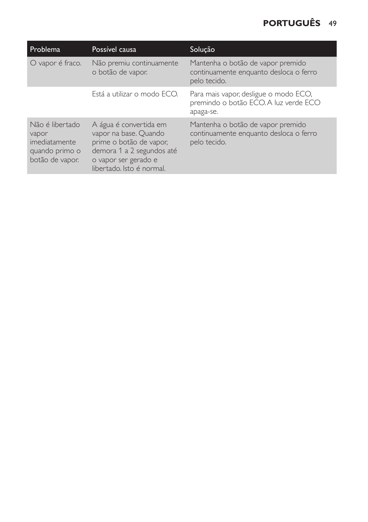| Problema                                                                              | Possível causa                                                                                                                                               | Solução                                                                                     |
|---------------------------------------------------------------------------------------|--------------------------------------------------------------------------------------------------------------------------------------------------------------|---------------------------------------------------------------------------------------------|
| O vapor é fraco.                                                                      | Não premiu continuamente<br>o botão de vapor.                                                                                                                | Mantenha o botão de vapor premido<br>continuamente enquanto desloca o ferro<br>pelo tecido. |
|                                                                                       | Está a utilizar o modo ECO.                                                                                                                                  | Para mais vapor, desligue o modo ECO,<br>premindo o botão ECO. A luz verde ECO<br>apaga-se. |
| Não é libertado<br>vapor<br><i>imediatamente</i><br>quando primo o<br>botão de vapor. | A água é convertida em<br>vapor na base. Quando<br>prime o botão de vapor,<br>demora 1 a 2 segundos até<br>o vapor ser gerado e<br>libertado. Isto é normal. | Mantenha o botão de vapor premido<br>continuamente enquanto desloca o ferro<br>pelo tecido. |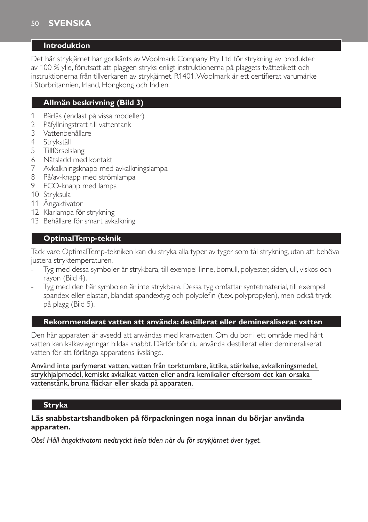## <span id="page-49-0"></span>50 **SVENSKA**

#### **Introduktion**

Det här strykjärnet har godkänts av Woolmark Company Pty Ltd för strykning av produkter av 100 % ylle, förutsatt att plaggen stryks enligt instruktionerna på plaggets tvättetikett och instruktionerna från tillverkaren av strykjärnet. R1401. Woolmark är ett certifierat varumärke i Storbritannien, Irland, Hongkong och Indien.

#### **Allmän beskrivning (Bild 3)**

- 1 Bärlås (endast på vissa modeller)
- 2 Påfyllningstratt till vattentank<br>3 Vattenbehållare
- 3 Vattenbehållare
- 4 Strykställ<br>5 Tillförsels
- **Tillförselslang**
- 6 Nätsladd med kontakt
- 7 Avkalkningsknapp med avkalkningslampa
- 8 På/av-knapp med strömlampa
- 9 ECO-knapp med lampa
- 10 Stryksula
- 11 Ångaktivator
- 12 Klarlampa för strykning
- 13 Behållare för smart avkalkning

#### **OptimalTemp-teknik**

Tack vare OptimalTemp-tekniken kan du stryka alla typer av tyger som tål strykning, utan att behöva justera stryktemperaturen.

- Tyg med dessa symboler är strykbara, till exempel linne, bomull, polyester, siden, ull, viskos och rayon (Bild 4).
- Tyg med den här symbolen är inte strykbara. Dessa tyg omfattar syntetmaterial, till exempel spandex eller elastan, blandat spandextyg och polyolefin (t.ex. polypropylen), men också tryck på plagg (Bild 5).

#### **Rekommenderat vatten att använda: destillerat eller demineraliserat vatten**

Den här apparaten är avsedd att användas med kranvatten. Om du bor i ett område med hårt vatten kan kalkavlagringar bildas snabbt. Därför bör du använda destillerat eller demineraliserat vatten för att förlänga apparatens livslängd.

Använd inte parfymerat vatten, vatten från torktumlare, ättika, stärkelse, avkalkningsmedel, strykhjälpmedel, kemiskt avkalkat vatten eller andra kemikalier eftersom det kan orsaka vattenstänk, bruna fläckar eller skada på apparaten.

#### **Stryka**

#### **Läs snabbstartshandboken på förpackningen noga innan du börjar använda apparaten.**

*Obs! Håll ångaktivatorn nedtryckt hela tiden när du för strykjärnet över tyget.*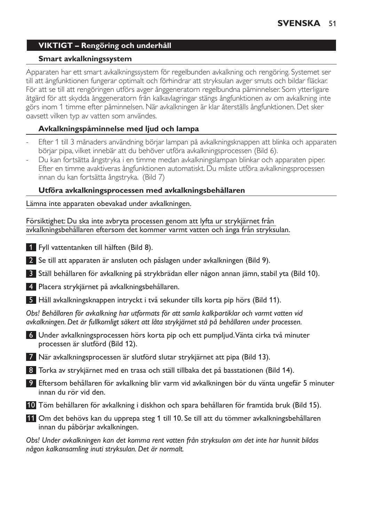#### **VIKTIGT – Rengöring och underhåll**

#### **Smart avkalkningssystem**

Apparaten har ett smart avkalkningssystem för regelbunden avkalkning och rengöring. Systemet ser till att ångfunktionen fungerar optimalt och förhindrar att stryksulan avger smuts och bildar fläckar. För att se till att rengöringen utförs avger ånggeneratorn regelbundna påminnelser. Som ytterligare åtgärd för att skydda ånggeneratorn från kalkavlagringar stängs ångfunktionen av om avkalkning inte görs inom 1 timme efter påminnelsen. När avkalkningen är klar återställs ångfunktionen. Det sker oavsett vilken typ av vatten som användes.

#### **Avkalkningspåminnelse med ljud och lampa**

- Efter 1 till 3 månaders användning börjar lampan på avkalkningsknappen att blinka och apparaten börjar pipa, vilket innebär att du behöver utföra avkalkningsprocessen (Bild 6).
- Du kan fortsätta ångstryka i en timme medan avkalkningslampan blinkar och apparaten piper. Efter en timme avaktiveras ångfunktionen automatiskt. Du måste utföra avkalkningsprocessen innan du kan fortsätta ångstryka. (Bild 7)

#### **Utföra avkalkningsprocessen med avkalkningsbehållaren**

Lämna inte apparaten obevakad under avkalkningen.

Försiktighet: Du ska inte avbryta processen genom att lyfta ur strykjärnet från avkalkningsbehållaren eftersom det kommer varmt vatten och ånga från stryksulan.

1 Fyll vattentanken till hälften (Bild 8).

2 Se till att apparaten är ansluten och påslagen under avkalkningen (Bild 9).

3 Ställ behållaren för avkalkning på strykbrädan eller någon annan jämn, stabil yta (Bild 10).

4 Placera strykjärnet på avkalkningsbehållaren.

5 Håll avkalkningsknappen intryckt i två sekunder tills korta pip hörs (Bild 11).

*Obs! Behållaren för avkalkning har utformats för att samla kalkpartiklar och varmt vatten vid avkalkningen. Det är fullkomligt säkert att låta strykjärnet stå på behållaren under processen.*

- 6 Under avkalkningsprocessen hörs korta pip och ett pumpljud. Vänta cirka två minuter processen är slutförd (Bild 12).
- 7 När avkalkningsprocessen är slutförd slutar strykjärnet att pipa (Bild 13).
- 8 Torka av strykjärnet med en trasa och ställ tillbaka det på basstationen (Bild 14).
- 9 Eftersom behållaren för avkalkning blir varm vid avkalkningen bör du vänta ungefär 5 minuter innan du rör vid den.
- 10 Töm behållaren för avkalkning i diskhon och spara behållaren för framtida bruk (Bild 15).
- 11 Om det behövs kan du upprepa steg 1 till 10. Se till att du tömmer avkalkningsbehållaren innan du påbörjar avkalkningen.

*Obs! Under avkalkningen kan det komma rent vatten från stryksulan om det inte har hunnit bildas någon kalkansamling inuti stryksulan. Det är normalt.*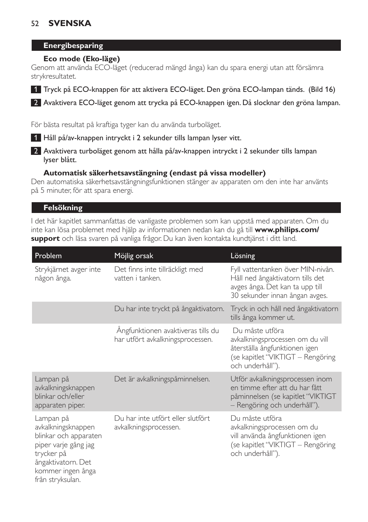#### 52 **SVENSKA**

#### **Energibesparing**

#### **Eco mode (Eko-läge)**

Genom att använda ECO-läget (reducerad mängd ånga) kan du spara energi utan att försämra strykresultatet.

1 Tryck på ECO-knappen för att aktivera ECO-läget. Den gröna ECO-lampan tänds. (Bild 16)

2 Avaktivera ECO-läget genom att trycka på ECO-knappen igen. Då slocknar den gröna lampan.

För bästa resultat på kraftiga tyger kan du använda turboläget.

1 Håll på/av-knappen intryckt i 2 sekunder tills lampan lyser vitt.

2 Avaktivera turboläget genom att hålla på/av-knappen intryckt i 2 sekunder tills lampan lyser blått.

#### **Automatisk säkerhetsavstängning (endast på vissa modeller)**

Den automatiska säkerhetsavstängningsfunktionen stänger av apparaten om den inte har använts på 5 minuter, för att spara energi.

#### **Felsökning**

I det här kapitlet sammanfattas de vanligaste problemen som kan uppstå med apparaten. Om du inte kan lösa problemet med hjälp av informationen nedan kan du gå till **www.philips.com/ support** och läsa svaren på vanliga frågor. Du kan även kontakta kundtjänst i ditt land.

| Problem                                                                                                                                                       | Möjlig orsak                                                           | Lösning                                                                                                                                      |
|---------------------------------------------------------------------------------------------------------------------------------------------------------------|------------------------------------------------------------------------|----------------------------------------------------------------------------------------------------------------------------------------------|
| Strykjärnet avger inte<br>någon ånga.                                                                                                                         | Det finns inte tillräckligt med<br>vatten i tanken.                    | Fyll vattentanken över MIN-nivån.<br>Håll ned ångaktivatorn tills det<br>avges ånga. Det kan ta upp till<br>30 sekunder innan ångan avges.   |
|                                                                                                                                                               | Du har inte tryckt på ångaktivatorn.                                   | Tryck in och håll ned ångaktivatorn<br>tills ånga kommer ut.                                                                                 |
|                                                                                                                                                               | Angfunktionen avaktiveras tills du<br>har utfört avkalkningsprocessen. | Du måste utföra<br>avkalkningsprocessen om du vill<br>återställa ångfunktionen igen<br>(se kapitlet "VIKTIGT - Rengöring<br>och underhåll"). |
| Lampan på<br>avkalkningsknappen<br>blinkar och/eller<br>apparaten piper.                                                                                      | Det är avkalkningspåminnelsen.                                         | Utför avkalkningsprocessen inom<br>en timme efter att du har fått<br>påminnelsen (se kapitlet ''VIKTIGT<br>- Rengöring och underhåll'').     |
| Lampan på<br>avkalkningsknappen<br>blinkar och apparaten<br>piper varje gång jag<br>trycker på<br>ångaktivatorn. Det<br>kommer ingen ånga<br>från stryksulan. | Du har inte utfört eller slutfört<br>avkalkningsprocessen.             | Du måste utföra<br>avkalkningsprocessen om du<br>vill använda ångfunktionen igen<br>(se kapitlet "VIKTIGT - Rengöring<br>och underhåll").    |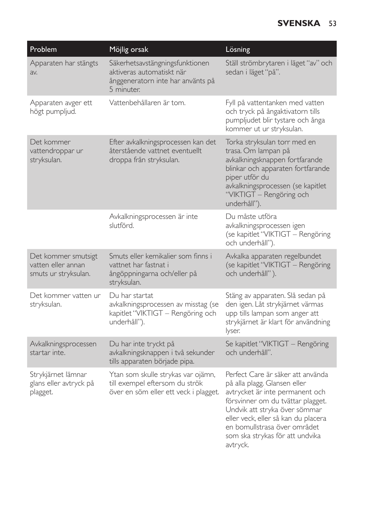| Problem                                                           | Möjlig orsak                                                                                                    | Lösning                                                                                                                                                                                                                                                                                          |
|-------------------------------------------------------------------|-----------------------------------------------------------------------------------------------------------------|--------------------------------------------------------------------------------------------------------------------------------------------------------------------------------------------------------------------------------------------------------------------------------------------------|
| Apparaten har stängts<br>av.                                      | Säkerhetsavstängningsfunktionen<br>aktiveras automatiskt när<br>ånggeneratorn inte har använts på<br>5 minuter. | Ställ strömbrytaren i läget "av" och<br>sedan i läget "på".                                                                                                                                                                                                                                      |
| Apparaten avger ett<br>högt pumpljud.                             | Vattenbehållaren är tom.                                                                                        | Fyll på vattentanken med vatten<br>och tryck på ångaktivatorn tills<br>pumpljudet blir tystare och ånga<br>kommer ut ur stryksulan.                                                                                                                                                              |
| Det kommer<br>vattendroppar ur<br>stryksulan.                     | Efter avkalkningsprocessen kan det<br>återstående vattnet eventuellt<br>droppa från stryksulan.                 | Torka stryksulan torr med en<br>trasa. Om lampan på<br>avkalkningsknappen fortfarande<br>blinkar och apparaten fortfarande<br>piper utför du<br>avkalkningsprocessen (se kapitlet<br>"VIKTIGT - Rengöring och<br>underhåll").                                                                    |
|                                                                   | Avkalkningsprocessen är inte<br>slutförd.                                                                       | Du måste utföra<br>avkalkningsprocessen igen<br>(se kapitlet "VIKTIGT - Rengöring<br>och underhåll").                                                                                                                                                                                            |
| Det kommer smutsigt<br>vatten eller annan<br>smuts ur stryksulan. | Smuts eller kemikalier som finns i<br>vattnet har fastnat i<br>ångöppningarna och/eller på<br>stryksulan.       | Avkalka apparaten regelbundet<br>(se kapitlet "VIKTIGT - Rengöring<br>och underhåll").                                                                                                                                                                                                           |
| Det kommer vatten ur<br>stryksulan.                               | Du har startat<br>avkalkningsprocessen av misstag (se<br>kapitlet "VIKTIGT - Rengöring och<br>underhåll").      | Stäng av apparaten. Slå sedan på<br>den igen. Låt strykjärnet värmas<br>upp tills lampan som anger att<br>strykjärnet är klart för användning<br>lyser.                                                                                                                                          |
| Avkalkningsprocessen<br>startar inte.                             | Du har inte tryckt på<br>avkalkningsknappen i två sekunder<br>tills apparaten började pipa.                     | Se kapitlet "VIKTIGT - Rengöring<br>och underhåll".                                                                                                                                                                                                                                              |
| Strykjärnet lämnar<br>glans eller avtryck på<br>plagget.          | Ytan som skulle strykas var ojämn,<br>till exempel eftersom du strök<br>över en söm eller ett veck i plagget.   | Perfect Care är säker att använda<br>på alla plagg. Glansen eller<br>avtrycket är inte permanent och<br>försvinner om du tvättar plagget.<br>Undvik att stryka över sömmar<br>eller veck, eller så kan du placera<br>en bomullstrasa över området<br>som ska strykas för att undvika<br>avtryck. |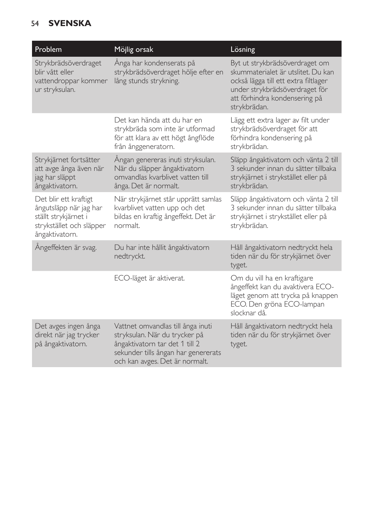## 54 **SVENSKA**

| Problem                                                                                                               | Möjlig orsak                                                                                                                                                                  | Lösning                                                                                                                                                                                         |
|-----------------------------------------------------------------------------------------------------------------------|-------------------------------------------------------------------------------------------------------------------------------------------------------------------------------|-------------------------------------------------------------------------------------------------------------------------------------------------------------------------------------------------|
| Strykbrädsöverdraget<br>blir vått eller<br>vattendroppar kommer<br>ur stryksulan.                                     | Ånga har kondenserats på<br>strykbrädsöverdraget hölje efter en<br>lång stunds strykning.                                                                                     | Byt ut strykbrädsöverdraget om<br>skummaterialet är utslitet. Du kan<br>också lägga till ett extra filtlager<br>under strykbrädsöverdraget för<br>att förhindra kondensering på<br>strykbrädan. |
|                                                                                                                       | Det kan hända att du har en<br>strykbräda som inte är utformad<br>för att klara av ett högt ångflöde<br>från ånggeneratorn.                                                   | Lägg ett extra lager av filt under<br>strykbrädsöverdraget för att<br>förhindra kondensering på<br>strykbrädan.                                                                                 |
| Strykjärnet fortsätter<br>att avge ånga även när<br>jag har släppt<br>ångaktivatorn.                                  | Angan genereras inuti stryksulan.<br>När du släpper ångaktivatorn<br>omvandlas kvarblivet vatten till<br>ånga. Det är normalt.                                                | Släpp ångaktivatorn och vänta 2 till<br>3 sekunder innan du sätter tillbaka<br>strykjärnet i strykstället eller på<br>strykbrädan.                                                              |
| Det blir ett kraftigt<br>ångutsläpp när jag har<br>ställt strykjärnet i<br>strykstället och släpper<br>ångaktivatorn. | När strykjärnet står upprätt samlas<br>kvarblivet vatten upp och det<br>bildas en kraftig ångeffekt. Det är<br>normalt.                                                       | Släpp ångaktivatorn och vänta 2 till<br>3 sekunder innan du sätter tillbaka<br>strykjärnet i strykstället eller på<br>strykbrädan.                                                              |
| Ångeffekten är svag.                                                                                                  | Du har inte hållit ångaktivatorn<br>nedtryckt.                                                                                                                                | Håll ångaktivatorn nedtryckt hela<br>tiden när du för strykjärnet över<br>tyget.                                                                                                                |
|                                                                                                                       | ECO-läget är aktiverat.                                                                                                                                                       | Om du vill ha en kraftigare<br>ångeffekt kan du avaktivera ECO-<br>läget genom att trycka på knappen<br>ECO. Den gröna ECO-lampan<br>slocknar då.                                               |
| Det avges ingen ånga<br>direkt när jag trycker<br>på ångaktivatorn.                                                   | Vattnet omvandlas till ånga inuti<br>stryksulan. När du trycker på<br>ångaktivatorn tar det 1 till 2<br>sekunder tills ångan har genererats<br>och kan avges. Det är normalt. | Håll ångaktivatorn nedtryckt hela<br>tiden när du för strykjärnet över<br>tyget.                                                                                                                |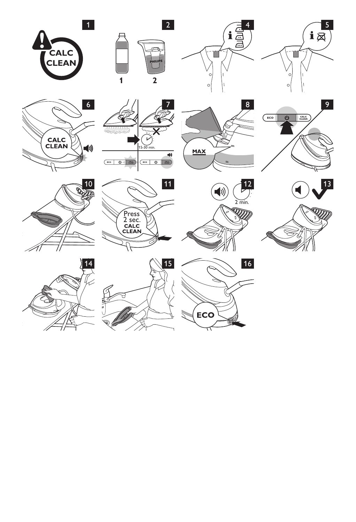



























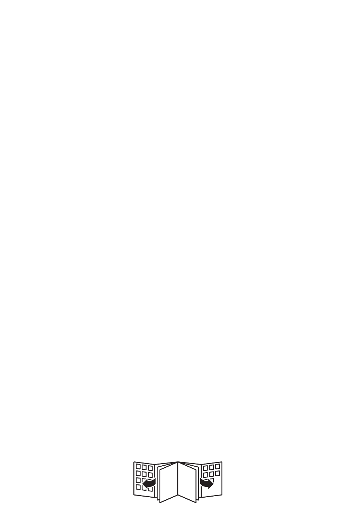